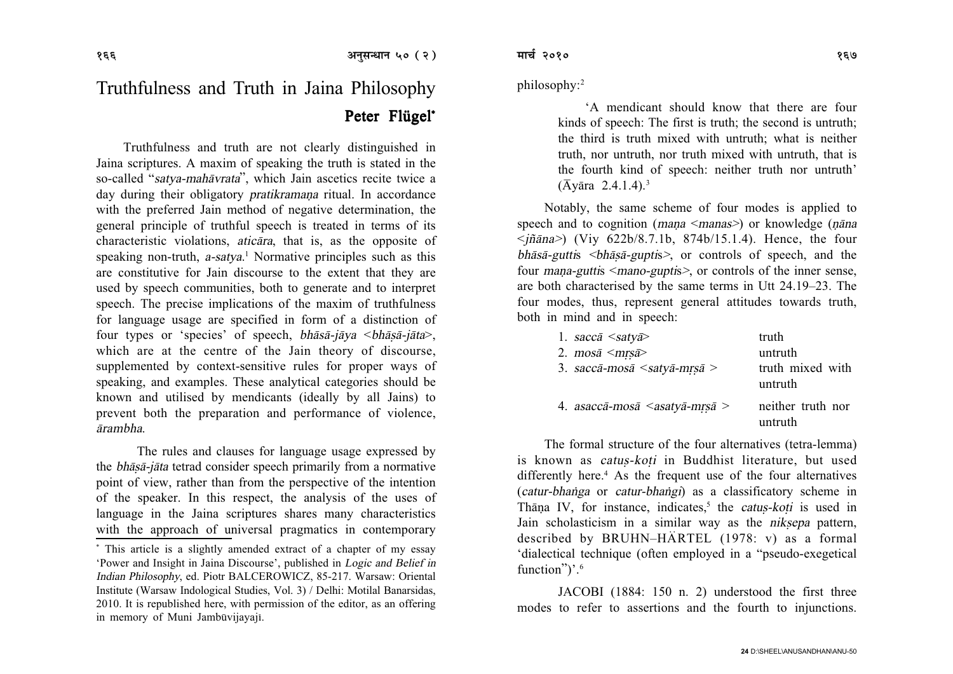# Truthfulness and Truth in Jaina Philosophy Peter Flügel<sup>\*</sup>

Truthfulness and truth are not clearly distinguished in Jaina scriptures. A maxim of speaking the truth is stated in the so-called "satya-mahāvrata", which Jain ascetics recite twice a day during their obligatory *pratikramana* ritual. In accordance with the preferred Jain method of negative determination, the general principle of truthful speech is treated in terms of its characteristic violations, *aticara*, that is, as the opposite of speaking non-truth, *a-satya*.<sup>1</sup> Normative principles such as this are constitutive for Jain discourse to the extent that they are used by speech communities, both to generate and to interpret speech. The precise implications of the maxim of truthfulness for language usage are specified in form of a distinction of four types or 'species' of speech, *bhāsā-jāya <bhāsā-jāta>*, which are at the centre of the Jain theory of discourse, supplemented by context-sensitive rules for proper ways of speaking, and examples. These analytical categories should be known and utilised by mendicants (ideally by all Jains) to prevent both the preparation and performance of violence, Írambha.

The rules and clauses for language usage expressed by the bhāṣā-jāta tetrad consider speech primarily from a normative point of view, rather than from the perspective of the intention of the speaker. In this respect, the analysis of the uses of language in the Jaina scriptures shares many characteristics with the approach of universal pragmatics in contemporary

philosophy: 2

'A mendicant should know that there are four kinds of speech: The first is truth; the second is untruth; the third is truth mixed with untruth; what is neither truth, nor untruth, nor truth mixed with untruth, that is the fourth kind of speech: neither truth nor untruth'  $(\bar{A}$ yāra 2.4.1.4).<sup>3</sup>

Notably, the same scheme of four modes is applied to speech and to cognition (*mana* <*manas*>) or knowledge (*nāna*  $\langle \hat{\eta} \rangle$  (Viy 622b/8.7.1b, 874b/15.1.4). Hence, the four bhāsā-guttis <br/>bhāsā-guptis>, or controls of speech, and the four mana-guttis  $\leq$ mano-guptis $\geq$ , or controls of the inner sense, are both characterised by the same terms in Utt 24.19–23. The four modes, thus, represent general attitudes towards truth, both in mind and in speech:

| 1. sacc $\bar{a}$ <saty<math>\bar{a}</saty<math> | truth                        |
|--------------------------------------------------|------------------------------|
| 2. mosā $\leq$ mrsā>                             | untruth                      |
| 3. saccā-mosā $\langle$ satyā-mrsā $\rangle$     | truth mixed with<br>untruth  |
| 4. asaccā-mosā $\langle$ asatyā-mrsā $\rangle$   | neither truth nor<br>untruth |

The formal structure of the four alternatives (tetra-lemma) is known as catus-koti in Buddhist literature, but used differently here. <sup>4</sup> As the frequent use of the four alternatives (catur-bhanga or catur-bhangi) as a classificatory scheme in Thāṇa IV, for instance, indicates,<sup>5</sup> the *catus-koți* is used in Jain scholasticism in a similar way as the niksepa pattern, described by BRUHN-HÄRTEL (1978: v) as a formal 'dialectical technique (often employed in a "pseudo-exegetical function")'. 6

JACOBI (1884: 150 n. 2) understood the first three modes to refer to assertions and the fourth to injunctions.

<sup>\*</sup> This article is a slightly amended extract of a chapter of my essay 'Power and Insight in Jaina Discourse', published in Logic and Belief in Indian Philosophy, ed. Piotr BALCEROWICZ, 85-217. Warsaw: Oriental Institute (Warsaw Indological Studies, Vol. 3) / Delhi: Motilal Banarsidas, 2010. It is republished here, with permission of the editor, as an offering in memory of Muni Jambūvijayajī.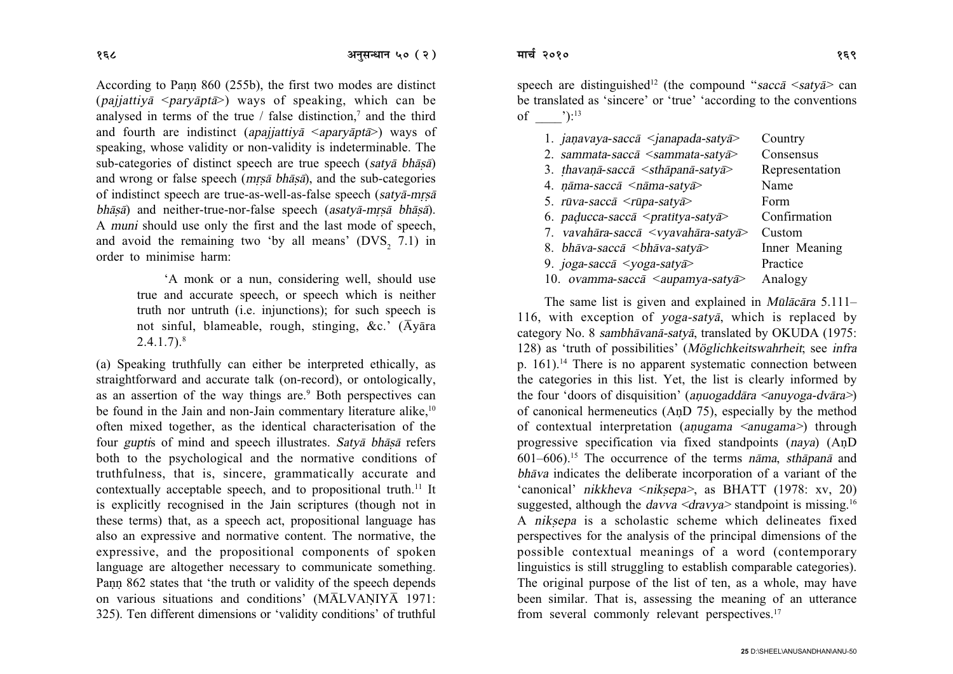According to Pann 860 (255b), the first two modes are distinct  $(\text{pairativity}\bar{a} \leq \text{pary}\bar{a})$  ways of speaking, which can be analysed in terms of the true / false distinction,<sup>7</sup> and the third and fourth are indistinct (apaijattiva  $\langle$ aparyapta>) ways of speaking, whose validity or non-validity is indeterminable. The sub-categories of distinct speech are true speech (satyā bhāsā) and wrong or false speech (*mrsa* bhasa), and the sub-categories of indistinct speech are true-as-well-as-false speech (satyā-mrsā bhāsā) and neither-true-nor-false speech (asatyā-mrsā bhāsā). A muni should use only the first and the last mode of speech, and avoid the remaining two 'by all means' (DVS, 7.1) in order to minimise harm:

> 'A monk or a nun, considering well, should use true and accurate speech, or speech which is neither truth nor untruth (i.e. injunctions); for such speech is not sinful, blameable, rough, stinging, &c.' (Ayara  $2.4.1.7<sup>8</sup>$

(a) Speaking truthfully can either be interpreted ethically, as straightforward and accurate talk (on-record), or ontologically, as an assertion of the way things are.<sup>9</sup> Both perspectives can be found in the Jain and non-Jain commentary literature alike,<sup>10</sup> often mixed together, as the identical characterisation of the four guptis of mind and speech illustrates. Satyā bhāsā refers both to the psychological and the normative conditions of truthfulness, that is, sincere, grammatically accurate and contextually acceptable speech, and to propositional truth.<sup>11</sup> It is explicitly recognised in the Jain scriptures (though not in these terms) that, as a speech act, propositional language has also an expressive and normative content. The normative, the expressive, and the propositional components of spoken language are altogether necessary to communicate something. Pann 862 states that 'the truth or validity of the speech depends on various situations and conditions' (MALVANIYA 1971: 325). Ten different dimensions or 'validity conditions' of truthful

speech are distinguished<sup>12</sup> (the compound "sacca  $\leq$ satva> can be translated as 'sincere' or 'true' 'according to the conventions' of  $'$ ):<sup>13</sup>

| 1. janavaya-saccā < janapada-satyā>                   | Country        |
|-------------------------------------------------------|----------------|
| 2. sammata-saccā <sammata-satyā></sammata-satyā>      | Consensus      |
| 3. thavanā-saccā <sthāpanā-satyā></sthāpanā-satyā>    | Representation |
| 4. ņāma-saccā <nāma-satyā></nāma-satyā>               | Name           |
| 5. rūva-saccā <rūpa-satyā></rūpa-satyā>               | Form           |
| 6. paducca-saccā <pratitya-satyā></pratitya-satyā>    | Confirmation   |
| 7. vavahāra-saccā <vyavahāra-satyā></vyavahāra-satyā> | Custom         |
| 8. bhāva-saccā <bhāva-satyā></bhāva-satyā>            | Inner Meaning  |
| 9. joga-saccā <yoga-satyā></yoga-satyā>               | Practice       |
| 10. ovamma-saccā <aupamya-satyā></aupamya-satyā>      | Analogy        |

The same list is given and explained in *Mūlācāra* 5.111– 116, with exception of yoga-satya, which is replaced by category No. 8 sambhāvanā-satyā, translated by OKUDA (1975: 128) as 'truth of possibilities' (Möglichkeitswahrheit; see infra p.  $161$ ).<sup>14</sup> There is no apparent systematic connection between the categories in this list. Yet, the list is clearly informed by the four 'doors of disquisition' (anuogaddara <anuyoga-dvāra>) of canonical hermeneutics (AnD 75), especially by the method of contextual interpretation (anugama <anugama>) through progressive specification via fixed standpoints (naya) (AnD  $601-606$ .<sup>15</sup> The occurrence of the terms *nāma*, *sthāpanā* and bhava indicates the deliberate incorporation of a variant of the 'canonical' nikkheva <niksepa>, as BHATT (1978: xv, 20) suggested, although the *davva*  $\langle$ *dravya* $>$  standpoint is missing.<sup>16</sup> A niksepa is a scholastic scheme which delineates fixed perspectives for the analysis of the principal dimensions of the possible contextual meanings of a word (contemporary linguistics is still struggling to establish comparable categories). The original purpose of the list of ten, as a whole, may have been similar. That is, assessing the meaning of an utterance from several commonly relevant perspectives.<sup>17</sup>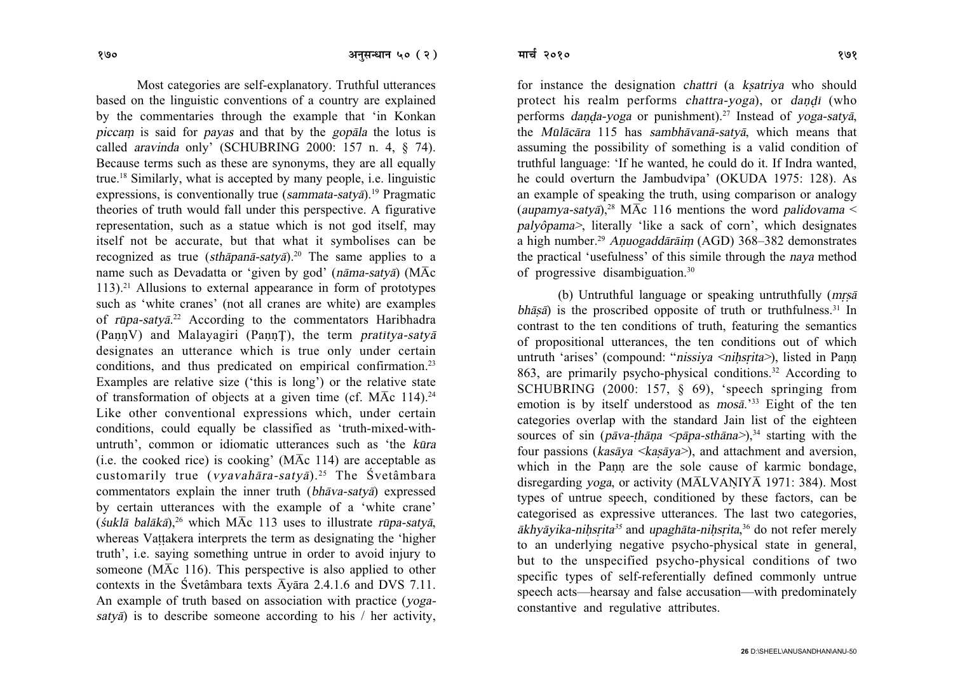Most categories are self-explanatory. Truthful utterances based on the linguistic conventions of a country are explained by the commentaries through the example that 'in Konkan piccam is said for payas and that by the gopala the lotus is called aravinda only' (SCHUBRING 2000: 157 n. 4, § 74). Because terms such as these are synonyms, they are all equally true.<sup>18</sup> Similarly, what is accepted by many people, i.e. linguistic expressions, is conventionally true (sammata-satyā).<sup>19</sup> Pragmatic theories of truth would fall under this perspective. A figurative representation, such as a statue which is not god itself, may itself not be accurate, but that what it symbolises can be recognized as true (sthāpanā-satyā).<sup>20</sup> The same applies to a name such as Devadatta or 'given by god' (nāma-satyā) ( $M\overline{A}c$ 113).<sup>21</sup> Allusions to external appearance in form of prototypes such as 'white cranes' (not all cranes are white) are examples of  $rūpa-satvā.<sup>22</sup>$  According to the commentators Haribhadra (PannV) and Malayagiri (PannT), the term pratitya-saty $\bar{a}$ designates an utterance which is true only under certain conditions, and thus predicated on empirical confirmation.<sup>23</sup> Examples are relative size ('this is long') or the relative state of transformation of objects at a given time (cf.  $M\bar{A}c$  114).<sup>24</sup> Like other conventional expressions which, under certain conditions, could equally be classified as 'truth-mixed-withuntruth', common or idiomatic utterances such as 'the kūra (i.e. the cooked rice) is cooking' ( $M\overline{A}c$  114) are acceptable as customarily true (vyavahāra-satyā).<sup>25</sup> The Śvetâmbara commentators explain the inner truth  $(bhāva-satvā)$  expressed by certain utterances with the example of a 'white crane'  $(jukl\overline{a} bal\overline{a}k\overline{a})$ ,<sup>26</sup> which M $\overline{A}c$  113 uses to illustrate rūpa-saty $\overline{a}$ , whereas Vattakera interprets the term as designating the 'higher truth', i.e. saying something untrue in order to avoid injury to someone ( $M\bar{A}c$  116). This perspective is also applied to other contexts in the Śvetâmbara texts  $\overline{A}$ yāra 2.4.1.6 and DVS 7.11. An example of truth based on association with practice (yogasaty $\bar{a}$ ) is to describe someone according to his / her activity,

for instance the designation *chattri* (a *ksatriya* who should protect his realm performs chattra-yoga), or dandi (who performs danda-yoga or punishment).<sup>27</sup> Instead of yoga-saty $\bar{a}$ , the *Mūlācāra* 115 has sambhāvanā-satyā, which means that assuming the possibility of something is a valid condition of truthful language: 'If he wanted, he could do it. If Indra wanted, he could overturn the Jambudvīpa' (OKUDA 1975: 128). As an example of speaking the truth, using comparison or analogy (aupamya-satyā),<sup>28</sup> M $\overline{A}c$  116 mentions the word palidovama < palyôpama>, literally 'like a sack of corn', which designates a high number.<sup>29</sup> Anuogaddārāim (AGD) 368–382 demonstrates the practical 'usefulness' of this simile through the naya method of progressive disambiguation.<sup>30</sup>

(b) Untruthful language or speaking untruthfully  $(mrs\bar{a})$  $bhāsā$ ) is the proscribed opposite of truth or truthfulness.<sup>31</sup> In contrast to the ten conditions of truth, featuring the semantics of propositional utterances, the ten conditions out of which untruth 'arises' (compound: "nissiya <nihsrita>), listed in Pann 863, are primarily psycho-physical conditions.<sup>32</sup> According to SCHUBRING (2000: 157, § 69), 'speech springing from emotion is by itself understood as  $m \circ \overline{a}$ .<sup>33</sup> Eight of the ten categories overlap with the standard Jain list of the eighteen sources of sin ( $p\bar{a}va-th\bar{a}na$  <p $p\bar{a}pa-sth\bar{a}na$ ),<sup>34</sup> starting with the four passions ( $kasāya < kasāya$ ), and attachment and aversion, which in the Pann are the sole cause of karmic bondage, disregarding yoga, or activity (MALVANIYA 1971: 384). Most types of untrue speech, conditioned by these factors, can be categorised as expressive utterances. The last two categories,  $\bar{a}$ khyāyika-nihsrita<sup>35</sup> and upaghāta-nihsrita,<sup>36</sup> do not refer merely to an underlying negative psycho-physical state in general, but to the unspecified psycho-physical conditions of two specific types of self-referentially defined commonly untrue speech acts—hearsay and false accusation—with predominately constantive and regulative attributes.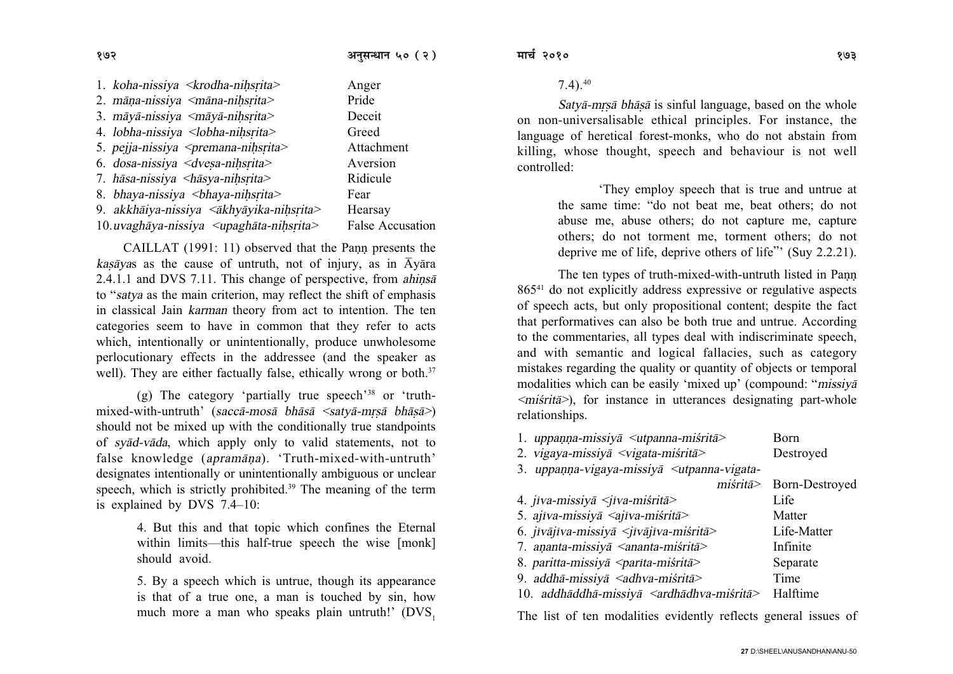1. koha-nissiya <krodha-nihsrita> Anger 2. māna-nissiva  $\leq$ māna-nihsrita> 3. māyā-nissiya  $\langle m\bar{a}y\bar{a}$ -nihsrita> 4. lobha-nissiya <lobha-nihsrita> 5. pejja-nissiya <premana-nihsrita> 6. dosa-nissiya < dvesa-nih srita> 7. hāsa-nissiya <hāsya-nihsrita> 8. bhava-nissiva  $\langle \text{b} \rangle$ hava-nihsrita> 9. akkhāiya-nissiya <ākhyāyika-nihsrita>  $10. uvaghāya-nissiya \langle upaghāta-nihsrita \rangle$ **False Accusation** 

१७२

Pride Deceit Greed Attachment Aversion Ridicule Fear Hearsav

CAILLAT (1991: 11) observed that the Pann presents the kasāyas as the cause of untruth, not of injury, as in  $\bar{A}$ yāra 2.4.1.1 and DVS 7.11. This change of perspective, from ahinsa to "satva as the main criterion, may reflect the shift of emphasis in classical Jain karman theory from act to intention. The ten categories seem to have in common that they refer to acts which, intentionally or unintentionally, produce unwholesome perlocutionary effects in the addressee (and the speaker as well). They are either factually false, ethically wrong or both.<sup>37</sup>

(g) The category 'partially true speech'<sup>38</sup> or 'truthmixed-with-untruth' (saccā-mosā bhāsā <satyā-mrsā bhāsā>) should not be mixed up with the conditionally true standpoints of syād-vāda, which apply only to valid statements, not to false knowledge (apramāna). 'Truth-mixed-with-untruth' designates intentionally or unintentionally ambiguous or unclear speech, which is strictly prohibited.<sup>39</sup> The meaning of the term is explained by DVS 7.4-10:

> 4. But this and that topic which confines the Eternal within limits—this half-true speech the wise [monk] should avoid.

> 5. By a speech which is untrue, though its appearance is that of a true one, a man is touched by sin, how much more a man who speaks plain untruth!' (DVS,

मार्च २०१०

 $7.4$ ).<sup>40</sup>

Satyā-mrsā bhāsā is sinful language, based on the whole on non-universalisable ethical principles. For instance, the language of heretical forest-monks, who do not abstain from killing, whose thought, speech and behaviour is not well controlled:

> They employ speech that is true and untrue at the same time: "do not beat me, beat others; do not abuse me, abuse others; do not capture me, capture others; do not torment me, torment others; do not deprive me of life, deprive others of life" (Suy 2.2.21).

The ten types of truth-mixed-with-untruth listed in Pann  $865<sup>41</sup>$  do not explicitly address expressive or regulative aspects of speech acts, but only propositional content; despite the fact that performatives can also be both true and untrue. According to the commentaries, all types deal with indiscriminate speech, and with semantic and logical fallacies, such as category mistakes regarding the quality or quantity of objects or temporal modalities which can be easily 'mixed up' (compound: "missiya  $\leq$ miśritā>), for instance in utterances designating part-whole relationships.

| 1. uppanna-missiya $\leq$ utpanna-miśrita>                                     | Born                    |
|--------------------------------------------------------------------------------|-------------------------|
| 2. vigaya-missiyā <vigata-miśritā></vigata-miśritā>                            | Destroyed               |
| 3. uppaņņa-vigaya-missiyā <utpanna-vigata-< td=""><td></td></utpanna-vigata-<> |                         |
|                                                                                | miśritā> Born-Destroyed |
| 4. jiva-missiyā <jiva-miśritā></jiva-miśritā>                                  | Life                    |
| 5. ajīva-missiyā < ajīva-miśritā>                                              | Matter                  |
| 6. jīvājīva-missiyā <jīvājīva-miśritā></jīvājīva-miśritā>                      | Life-Matter             |
| 7. ananta-missiyā <ananta-miśritā></ananta-miśritā>                            | Infinite                |
| 8. paritta-missiyā <parīta-miśritā></parīta-miśritā>                           | Separate                |
| 9. addhā-missiyā <adhva-miśritā></adhva-miśritā>                               | Time                    |
| 10. addhāddhā-missiyā <ardhādhva-miśritā></ardhādhva-miśritā>                  | Halftime                |

The list of ten modalities evidently reflects general issues of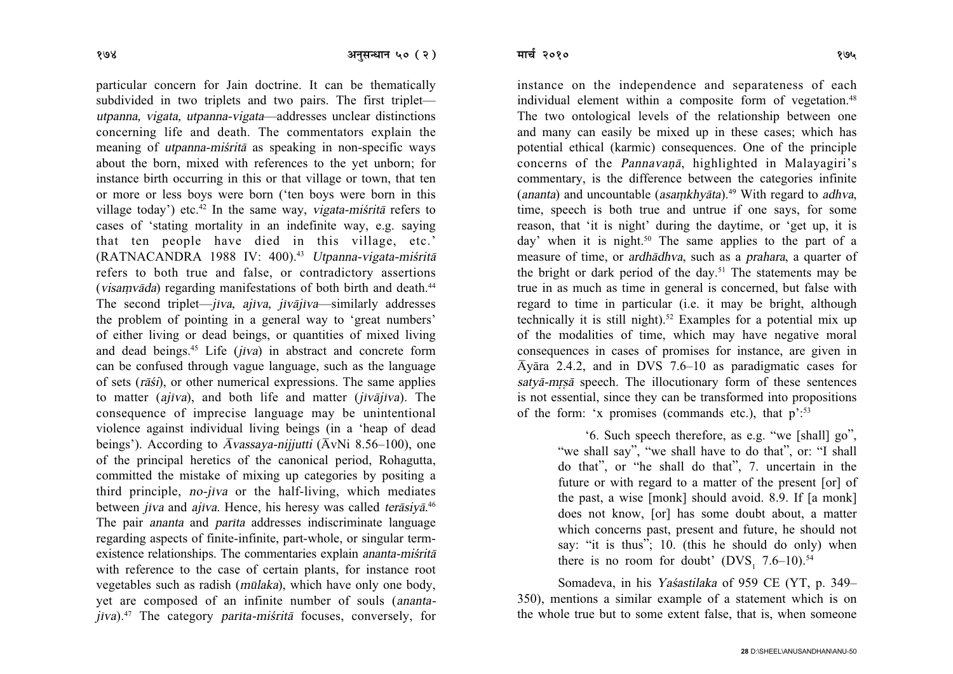particular concern for Jain doctrine. It can be thematically subdivided in two triplets and two pairs. The first triplet utpanna, vigata, utpanna-vigata—addresses unclear distinctions concerning life and death. The commentators explain the meaning of *utpanna-miśritā* as speaking in non-specific ways about the born, mixed with references to the yet unborn; for instance birth occurring in this or that village or town, that ten or more or less boys were born ('ten boys were born in this village today') etc.<sup>42</sup> In the same way, *vigata-miśritā* refers to cases of 'stating mortality in an indefinite way, e.g. saying that ten people have died in this village, etc.'  $(RATNACANDRA$  1988 IV: 400).<sup>43</sup> Utpanna-vigata-miśritā refers to both true and false, or contradictory assertions (visamvāda) regarding manifestations of both birth and death. $44$ The second triplet—*jīva*, *ajīva*, *jīvājīva*—similarly addresses the problem of pointing in a general way to 'great numbers' of either living or dead beings, or quantities of mixed living and dead beings. $45$  Life ( $jiva$ ) in abstract and concrete form can be confused through vague language, such as the language of sets  $(r\bar{a}\dot{s}i)$ , or other numerical expressions. The same applies to matter (ajīva), and both life and matter (jīvājīva). The consequence of imprecise language may be unintentional violence against individual living beings (in a 'heap of dead beings'). According to  $\overline{A}v$ assaya-nijjutti ( $\overline{A}v$ Ni 8.56–100), one of the principal heretics of the canonical period, Rohagutta, committed the mistake of mixing up categories by positing a third principle, no-jiva or the half-living, which mediates between jīva and ajīva. Hence, his heresy was called terāsiyā.<sup>46</sup> The pair ananta and parita addresses indiscriminate language regarding aspects of finite-infinite, part-whole, or singular termexistence relationships. The commentaries explain ananta-miśritā with reference to the case of certain plants, for instance root vegetables such as radish (mūlaka), which have only one body, yet are composed of an infinite number of souls (ananta $jiva$ ).<sup>47</sup> The category *parita-miśritā* focuses, conversely, for

instance on the independence and separateness of each individual element within a composite form of vegetation.<sup>48</sup> The two ontological levels of the relationship between one and many can easily be mixed up in these cases; which has potential ethical (karmic) consequences. One of the principle concerns of the Pannavaṇā, highlighted in Malayagiri's commentary, is the difference between the categories infinite (ananta) and uncountable (asamkhyāta).<sup>49</sup> With regard to adhva, time, speech is both true and untrue if one says, for some reason, that 'it is night' during the daytime, or 'get up, it is day' when it is night.<sup>50</sup> The same applies to the part of a measure of time, or *ardhādhva*, such as a *prahara*, a quarter of the bright or dark period of the day.<sup>51</sup> The statements may be true in as much as time in general is concerned, but false with regard to time in particular (i.e. it may be bright, although technically it is still night).<sup>52</sup> Examples for a potential mix up of the modalities of time, which may have negative moral consequences in cases of promises for instance, are given in  $\overline{A}$ yāra 2.4.2, and in DVS 7.6–10 as paradigmatic cases for satyā-mṛṣā speech. The illocutionary form of these sentences is not essential, since they can be transformed into propositions of the form: 'x promises (commands etc.), that  $p^{\prime}$ :<sup>53</sup>

> '6. Such speech therefore, as e.g. "we [shall] go", "we shall say", "we shall have to do that", or: "I shall do that", or "he shall do that", 7. uncertain in the future or with regard to a matter of the present [or] of the past, a wise [monk] should avoid. 8.9. If [a monk] does not know, [or] has some doubt about, a matter which concerns past, present and future, he should not say: "it is thus"; 10. (this he should do only) when there is no room for doubt'  $(DVS_1 7.6-10).<sup>54</sup>$

Somadeva, in his Yaśastilaka of 959 CE (YT, p. 349– 350), mentions a similar example of a statement which is on the whole true but to some extent false, that is, when someone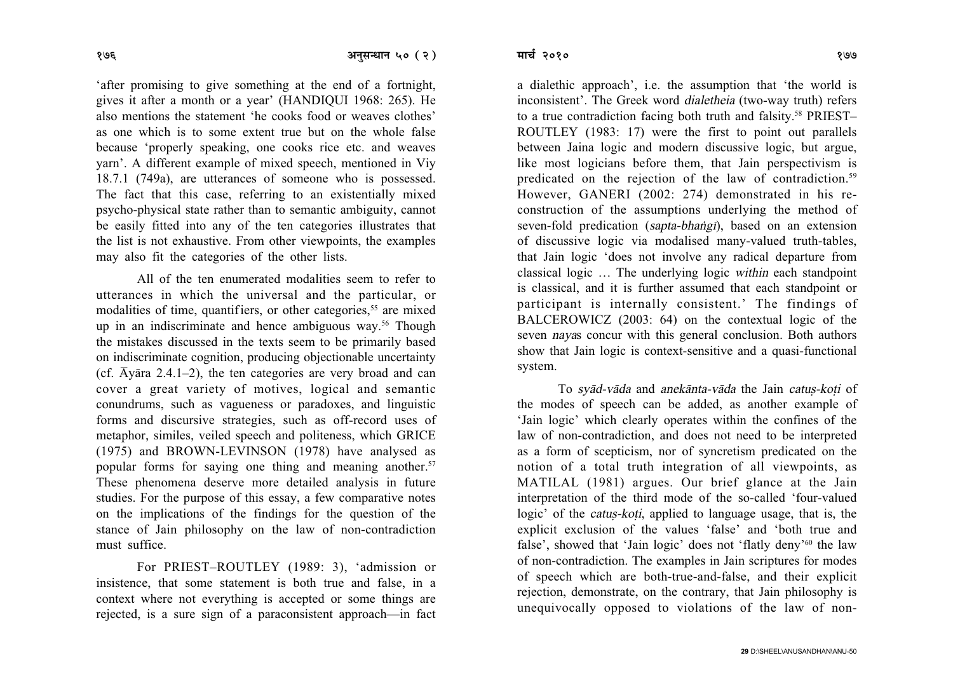'after promising to give something at the end of a fortnight, gives it after a month or a year' (HANDIQUI 1968: 265). He also mentions the statement 'he cooks food or weaves clothes' as one which is to some extent true but on the whole false because 'properly speaking, one cooks rice etc. and weaves yarn'. A different example of mixed speech, mentioned in Viy 18.7.1 (749a), are utterances of someone who is possessed. The fact that this case, referring to an existentially mixed psycho-physical state rather than to semantic ambiguity, cannot be easily fitted into any of the ten categories illustrates that the list is not exhaustive. From other viewpoints, the examples may also fit the categories of the other lists.

All of the ten enumerated modalities seem to refer to utterances in which the universal and the particular, or modalities of time, quantifiers, or other categories,<sup>55</sup> are mixed up in an indiscriminate and hence ambiguous way.<sup>56</sup> Though the mistakes discussed in the texts seem to be primarily based on indiscriminate cognition, producing objectionable uncertainty (cf.  $\bar{A}$ yāra 2.4.1–2), the ten categories are very broad and can cover a great variety of motives, logical and semantic conundrums, such as vagueness or paradoxes, and linguistic forms and discursive strategies, such as off-record uses of metaphor, similes, veiled speech and politeness, which GRICE (1975) and BROWN-LEVINSON (1978) have analysed as popular forms for saying one thing and meaning another.<sup>57</sup> These phenomena deserve more detailed analysis in future studies. For the purpose of this essay, a few comparative notes on the implications of the findings for the question of the stance of Jain philosophy on the law of non-contradiction must suffice.

For PRIEST–ROUTLEY (1989: 3), 'admission or insistence, that some statement is both true and false, in a context where not everything is accepted or some things are rejected, is a sure sign of a paraconsistent approach—in fact

a dialethic approach', i.e. the assumption that 'the world is inconsistent'. The Greek word dialetheia (two-way truth) refers to a true contradiction facing both truth and falsity.<sup>58</sup> PRIEST– ROUTLEY (1983: 17) were the first to point out parallels between Jaina logic and modern discussive logic, but argue, like most logicians before them, that Jain perspectivism is predicated on the rejection of the law of contradiction.<sup>59</sup> However, GANERI (2002: 274) demonstrated in his reconstruction of the assumptions underlying the method of seven-fold predication (sapta-bhangī), based on an extension of discussive logic via modalised many-valued truth-tables, that Jain logic 'does not involve any radical departure from classical logic … The underlying logic within each standpoint is classical, and it is further assumed that each standpoint or participant is internally consistent.' The findings of BALCEROWICZ (2003: 64) on the contextual logic of the seven nayas concur with this general conclusion. Both authors show that Jain logic is context-sensitive and a quasi-functional system.

To syād-vāda and anekānta-vāda the Jain catus-koti of the modes of speech can be added, as another example of 'Jain logic' which clearly operates within the confines of the law of non-contradiction, and does not need to be interpreted as a form of scepticism, nor of syncretism predicated on the notion of a total truth integration of all viewpoints, as MATILAL (1981) argues. Our brief glance at the Jain interpretation of the third mode of the so-called 'four-valued logic' of the *catus-koti*, applied to language usage, that is, the explicit exclusion of the values 'false' and 'both true and false', showed that 'Jain logic' does not 'flatly deny'<sup>60</sup> the law of non-contradiction. The examples in Jain scriptures for modes of speech which are both-true-and-false, and their explicit rejection, demonstrate, on the contrary, that Jain philosophy is unequivocally opposed to violations of the law of non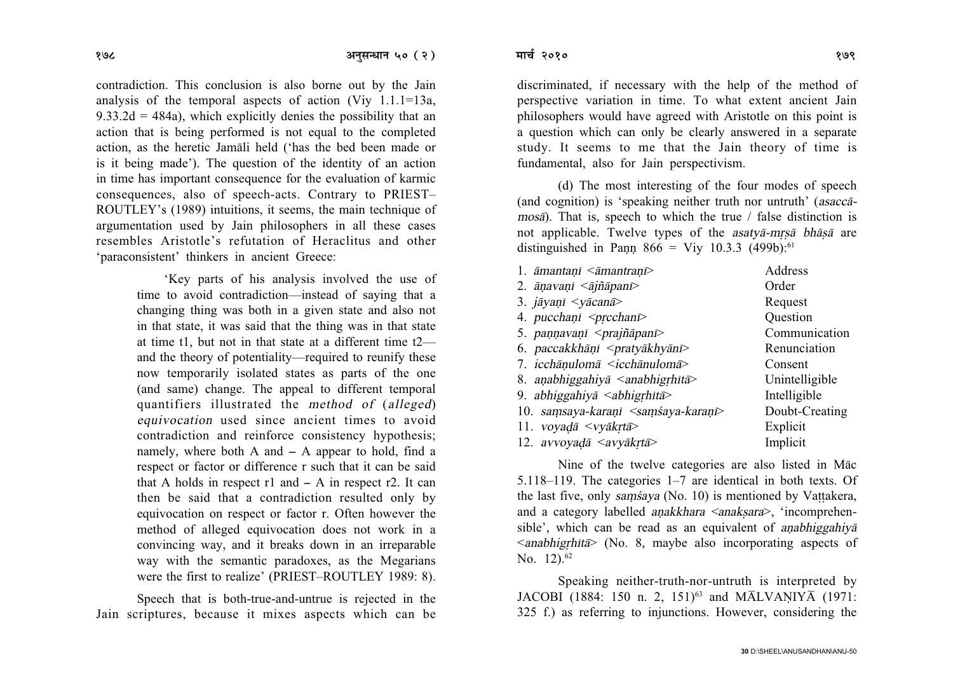contradiction. This conclusion is also borne out by the Jain analysis of the temporal aspects of action (Viy 1.1.1=13a,  $9.33.2d = 484a$ , which explicitly denies the possibility that an action that is being performed is not equal to the completed action, as the heretic Jamāli held ('has the bed been made or is it being made'). The question of the identity of an action in time has important consequence for the evaluation of karmic consequences, also of speech-acts. Contrary to PRIEST– ROUTLEY's (1989) intuitions, it seems, the main technique of argumentation used by Jain philosophers in all these cases resembles Aristotle's refutation of Heraclitus and other 'paraconsistent' thinkers in ancient Greece:

> 'Key parts of his analysis involved the use of time to avoid contradiction—instead of saying that a changing thing was both in a given state and also not in that state, it was said that the thing was in that state at time t1, but not in that state at a different time t2 and the theory of potentiality—required to reunify these now temporarily isolated states as parts of the one (and same) change. The appeal to different temporal quantifiers illustrated the method of (alleged) equivocation used since ancient times to avoid contradiction and reinforce consistency hypothesis; namely, where both  $A$  and  $- A$  appear to hold, find a respect or factor or difference r such that it can be said that A holds in respect  $r1$  and  $- A$  in respect  $r2$ . It can then be said that a contradiction resulted only by equivocation on respect or factor r. Often however the method of alleged equivocation does not work in a convincing way, and it breaks down in an irreparable way with the semantic paradoxes, as the Megarians were the first to realize' (PRIEST–ROUTLEY 1989: 8).

Speech that is both-true-and-untrue is rejected in the Jain scriptures, because it mixes aspects which can be

discriminated, if necessary with the help of the method of perspective variation in time. To what extent ancient Jain philosophers would have agreed with Aristotle on this point is a question which can only be clearly answered in a separate study. It seems to me that the Jain theory of time is fundamental, also for Jain perspectivism.

(d) The most interesting of the four modes of speech (and cognition) is 'speaking neither truth nor untruth' ( $asacc\bar{a}$ mosā). That is, speech to which the true  $/$  false distinction is not applicable. Twelve types of the asatyā-mrsā bhāsā are distinguished in Pann 866 = Viy 10.3.3 (499b):<sup>61</sup>

| 1. $\bar{a}$ mantaņi < $\bar{a}$ mantraņi>           | Address        |
|------------------------------------------------------|----------------|
| 2. $āpavanī < ajnāpan$                               | Order          |
| 3. jāyaņi < yācanā>                                  | Request        |
| 4. pucchani <prcchani></prcchani>                    | Question       |
| 5. paņņavaņi < prajnāpani>                           | Communication  |
| 6. paccakkhāņī <pratyākhyānī></pratyākhyānī>         | Renunciation   |
| 7. icchānulomā <icchānulomā></icchānulomā>           | Consent        |
| 8. anabhiggahiyā <anabhigrhītā></anabhigrhītā>       | Unintelligible |
| 9. abhiggahiyā <abhigrhītā></abhigrhītā>             | Intelligible   |
| 10. samsaya-karani <samsaya-karani></samsaya-karani> | Doubt-Creating |
| 11. voyadā <vyākrtā></vyākrtā>                       | Explicit       |
| 12. avvoyadā <avyākrtā></avyākrtā>                   | Implicit       |
|                                                      |                |

Nine of the twelve categories are also listed in Mac 5.118–119. The categories 1–7 are identical in both texts. Of the last five, only samsaya (No. 10) is mentioned by Vattakera, and a category labelled aņakkhara <anaksara>, 'incomprehensible', which can be read as an equivalent of *anabhiggahiya*  $\langle$ anabhigrhita $\rangle$  (No. 8, maybe also incorporating aspects of No. 12).<sup>62</sup>

Speaking neither-truth-nor-untruth is interpreted by JACOBI (1884: 150 n. 2, 151)<sup>63</sup> and MALVANIYA (1971: 325 f.) as referring to injunctions. However, considering the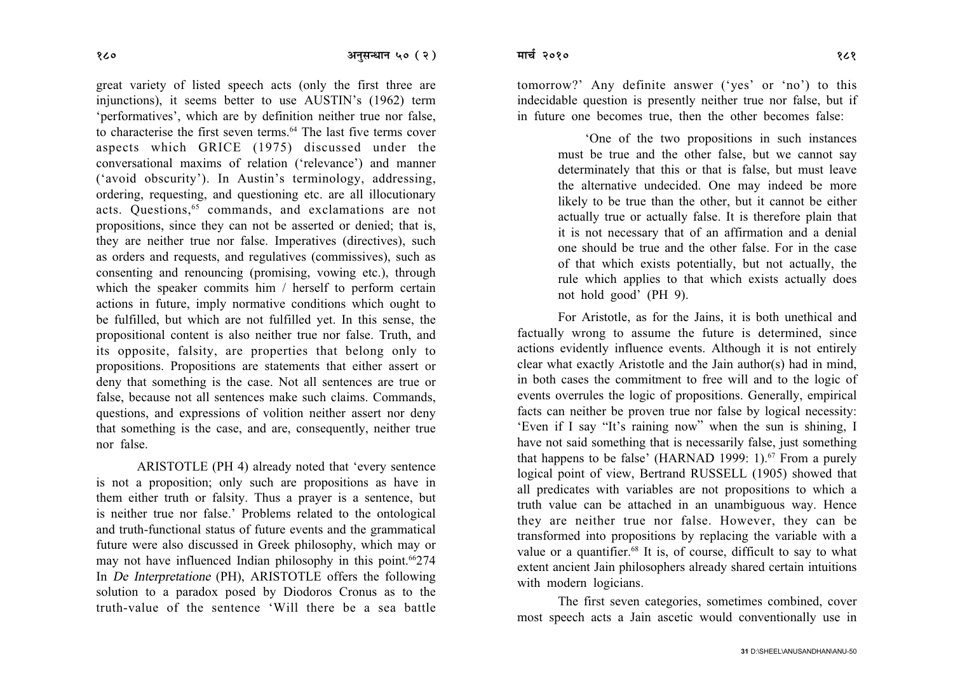great variety of listed speech acts (only the first three are injunctions), it seems better to use AUSTIN's (1962) term 'performatives', which are by definition neither true nor false, to characterise the first seven terms.<sup>64</sup> The last five terms cover aspects which GRICE (1975) discussed under the conversational maxims of relation ('relevance') and manner ('avoid obscurity'). In Austin's terminology, addressing, ordering, requesting, and questioning etc. are all illocutionary acts. Questions,<sup>65</sup> commands, and exclamations are not propositions, since they can not be asserted or denied; that is, they are neither true nor false. Imperatives (directives), such as orders and requests, and regulatives (commissives), such as consenting and renouncing (promising, vowing etc.), through which the speaker commits him / herself to perform certain actions in future, imply normative conditions which ought to be fulfilled, but which are not fulfilled yet. In this sense, the propositional content is also neither true nor false. Truth, and its opposite, falsity, are properties that belong only to propositions. Propositions are statements that either assert or deny that something is the case. Not all sentences are true or false, because not all sentences make such claims. Commands, questions, and expressions of volition neither assert nor deny that something is the case, and are, consequently, neither true nor false.

ARISTOTLE (PH 4) already noted that 'every sentence is not a proposition; only such are propositions as have in them either truth or falsity. Thus a prayer is a sentence, but is neither true nor false.' Problems related to the ontological and truth-functional status of future events and the grammatical future were also discussed in Greek philosophy, which may or may not have influenced Indian philosophy in this point.<sup>66</sup>274 In De Interpretatione (PH), ARISTOTLE offers the following solution to a paradox posed by Diodoros Cronus as to the truth-value of the sentence 'Will there be a sea battle

tomorrow?' Any definite answer ('yes' or 'no') to this indecidable question is presently neither true nor false, but if in future one becomes true, then the other becomes false:

> 'One of the two propositions in such instances must be true and the other false, but we cannot say determinately that this or that is false, but must leave the alternative undecided. One may indeed be more likely to be true than the other, but it cannot be either actually true or actually false. It is therefore plain that it is not necessary that of an affirmation and a denial one should be true and the other false. For in the case of that which exists potentially, but not actually, the rule which applies to that which exists actually does not hold good' (PH 9).

For Aristotle, as for the Jains, it is both unethical and factually wrong to assume the future is determined, since actions evidently influence events. Although it is not entirely clear what exactly Aristotle and the Jain author(s) had in mind, in both cases the commitment to free will and to the logic of events overrules the logic of propositions. Generally, empirical facts can neither be proven true nor false by logical necessity: 'Even if I say "It's raining now" when the sun is shining, I have not said something that is necessarily false, just something that happens to be false' (HARNAD 1999: 1).<sup>67</sup> From a purely logical point of view, Bertrand RUSSELL (1905) showed that all predicates with variables are not propositions to which a truth value can be attached in an unambiguous way. Hence they are neither true nor false. However, they can be transformed into propositions by replacing the variable with a value or a quantifier.<sup>68</sup> It is, of course, difficult to say to what extent ancient Jain philosophers already shared certain intuitions with modern logicians.

The first seven categories, sometimes combined, cover most speech acts a Jain ascetic would conventionally use in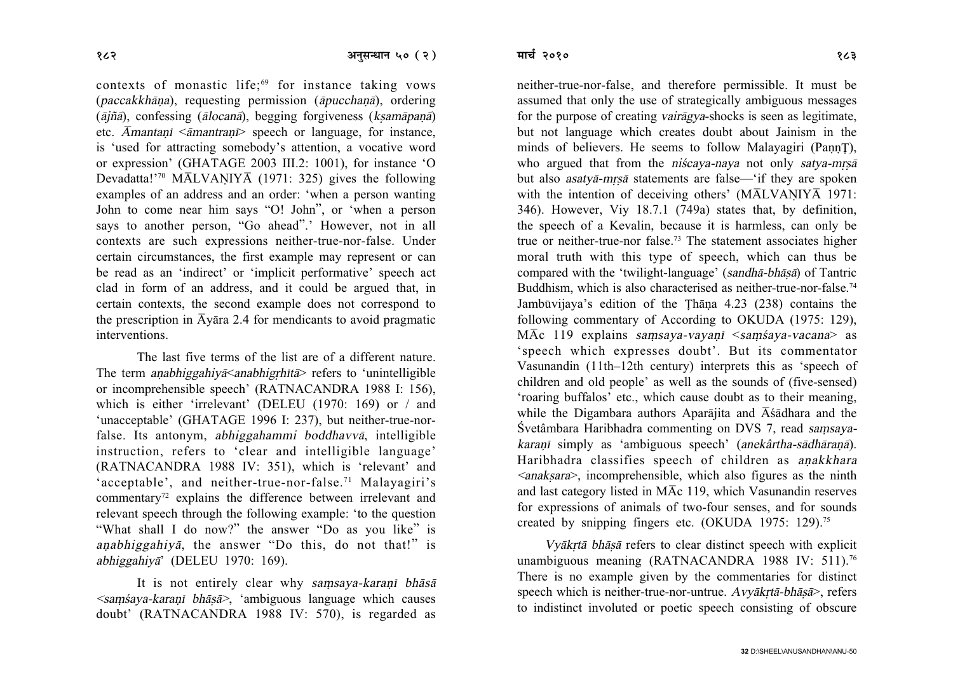contexts of monastic life; $69$  for instance taking vows  $(paccakkhāna)$ , requesting permission ( $āpucchanā$ ), ordering  $(\overline{\textit{ajn}\textit{a}})$ , confessing ( $\overline{\textit{alocan}\textit{a}}$ ), begging forgiveness (*ksamāpanā*) etc. Amantaņi  $\leq$ āmantraņi $\geq$  speech or language, for instance, is 'used for attracting somebody's attention, a vocative word or expression' (GHATAGE 2003 III.2: 1001), for instance 'O Devadatta!'<sup>70</sup> M $\overline{ALVANIYA}$  (1971: 325) gives the following examples of an address and an order: 'when a person wanting John to come near him says "O! John", or 'when a person says to another person, "Go ahead".' However, not in all contexts are such expressions neither-true-nor-false. Under certain circumstances, the first example may represent or can be read as an 'indirect' or 'implicit performative' speech act clad in form of an address, and it could be argued that, in certain contexts, the second example does not correspond to the prescription in  $\bar{A}$ yāra 2.4 for mendicants to avoid pragmatic interventions.

The last five terms of the list are of a different nature. The term *anabhiggahiyā*<anabhigrhita> refers to 'unintelligible or incomprehensible speech' (RATNACANDRA 1988 I: 156), which is either 'irrelevant' (DELEU (1970: 169) or / and 'unacceptable' (GHATAGE 1996 I: 237), but neither-true-norfalse. Its antonym, abhiggahammi boddhavvā, intelligible instruction, refers to 'clear and intelligible language' (RATNACANDRA 1988 IV: 351), which is 'relevant' and 'acceptable', and neither-true-nor-false.<sup>71</sup> Malayagiri's commentary<sup>72</sup> explains the difference between irrelevant and relevant speech through the following example: 'to the question "What shall I do now?" the answer "Do as you like" is anabhiggahiyā, the answer "Do this, do not that!" is abhiggahiyā' (DELEU 1970: 169).

It is not entirely clear why samsaya-karani bhāsā  $\leq$ samsaya-karanī bhāsā>, 'ambiguous language which causes doubt' (RATNACANDRA 1988 IV: 570), is regarded as

neither-true-nor-false, and therefore permissible. It must be assumed that only the use of strategically ambiguous messages for the purpose of creating *vairagya*-shocks is seen as legitimate, but not language which creates doubt about Jainism in the minds of believers. He seems to follow Malayagiri (PannT), who argued that from the *niścaya-naya* not only satya-mrsā but also *asatyā-mrsā* statements are false—'if they are spoken with the intention of deceiving others' (MALVANIYA 1971: 346). However, Viy 18.7.1 (749a) states that, by definition, the speech of a Kevalin, because it is harmless, can only be true or neither-true-nor false.<sup>73</sup> The statement associates higher moral truth with this type of speech, which can thus be compared with the 'twilight-language' (sandhā-bhāsā) of Tantric Buddhism, which is also characterised as neither-true-nor-false.<sup>74</sup> Jambūvijaya's edition of the Thāna 4.23 (238) contains the following commentary of According to OKUDA (1975: 129), M $\overline{\text{Ac}}$  119 explains *saṃsaya-vayaṇi <saṃśaya-vacana*> as 'speech which expresses doubt'. But its commentator Vasunandin (11th–12th century) interprets this as 'speech of children and old people' as well as the sounds of (five-sensed) 'roaring buffalos' etc., which cause doubt as to their meaning, while the Digambara authors Aparājita and  $\overline{A}$ śādhara and the Śvetâmbara Haribhadra commenting on DVS 7, read samsayakaranī simply as 'ambiguous speech' (anekârtha-sādhāranā). Haribhadra classifies speech of children as anakkhara  $\langle$ anaksara $\rangle$ , incomprehensible, which also figures as the ninth and last category listed in  $M\bar{A}c$  119, which Vasunandin reserves for expressions of animals of two-four senses, and for sounds created by snipping fingers etc. (OKUDA 1975: 129).<sup>75</sup>

Vyākrtā bhāṣā refers to clear distinct speech with explicit unambiguous meaning (RATNACANDRA 1988 IV: 511).<sup>76</sup> There is no example given by the commentaries for distinct speech which is neither-true-nor-untrue. Avyākrtā-bhāsā>, refers to indistinct involuted or poetic speech consisting of obscure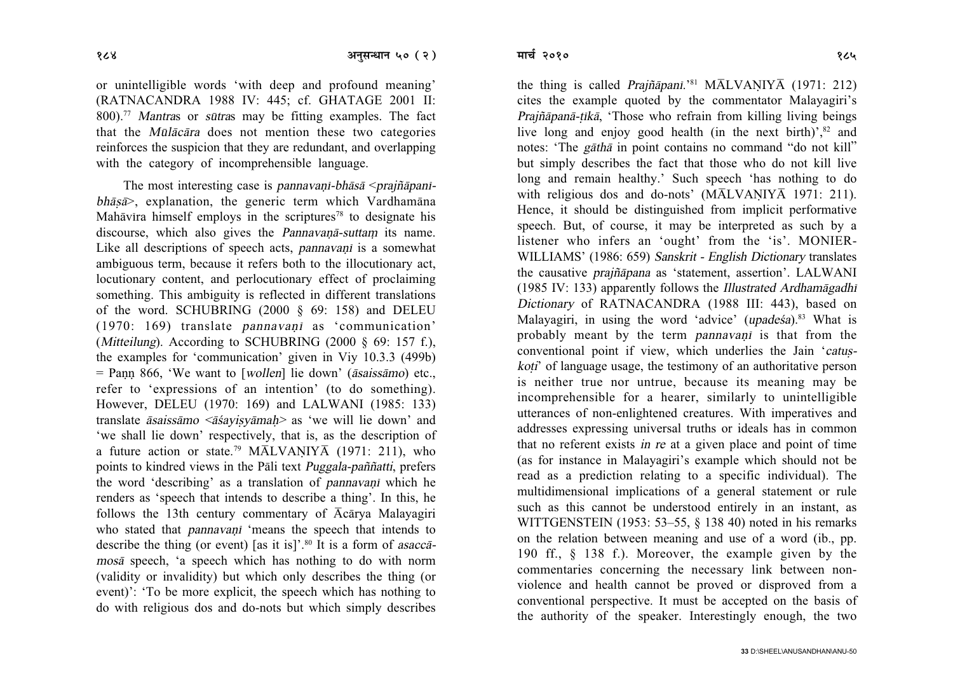or unintelligible words 'with deep and profound meaning' (RATNACANDRA 1988 IV: 445; cf. GHATAGE 2001 II: 800).<sup>77</sup> Mantras or sūtras may be fitting examples. The fact that the Mūlacara does not mention these two categories reinforces the suspicion that they are redundant, and overlapping with the category of incomprehensible language.

The most interesting case is *pannavani-bhāsā* <*praiñāpani*bhāsa>, explanation, the generic term which Vardhamāna Mahāvira himself employs in the scriptures<sup>78</sup> to designate his discourse, which also gives the *Pannavana-suttam* its name. Like all descriptions of speech acts, *pannavani* is a somewhat ambiguous term, because it refers both to the illocutionary act. locutionary content, and perlocutionary effect of proclaiming something. This ambiguity is reflected in different translations of the word. SCHUBRING  $(2000 \t§ 69: 158)$  and DELEU (1970: 169) translate *pannavani* as 'communication' (*Mitteilung*). According to SCHUBRING (2000  $\,$  69: 157 f.). the examples for 'communication' given in Viy 10.3.3 (499b)  $=$  Pann 866, 'We want to [wollen] lie down' ( $\bar{a}$ saissamo) etc., refer to 'expressions of an intention' (to do something). However, DELEU (1970: 169) and LALWANI (1985: 133) translate *āsaissāmo* <*ašayisyāmah*> as 'we will lie down' and 'we shall lie down' respectively, that is, as the description of a future action or state.<sup>79</sup> MALVANIYA (1971: 211), who points to kindred views in the Pali text Puggala-paññatti, prefers the word 'describing' as a translation of *pannavani* which he renders as 'speech that intends to describe a thing'. In this, he follows the 13th century commentary of Acarya Malayagiri who stated that *pannavani* 'means the speech that intends to describe the thing (or event) [as it is]'.<sup>80</sup> It is a form of *asacc* $\bar{a}$ mosa speech, 'a speech which has nothing to do with norm (validity or invalidity) but which only describes the thing (or event)': 'To be more explicit, the speech which has nothing to do with religious dos and do-nots but which simply describes

the thing is called *Prajñāpani*.<sup>81</sup> MALVANIYA (1971: 212) cites the example quoted by the commentator Malayagiri's Prajñāpanā-tīkā, 'Those who refrain from killing living beings live long and enjoy good health (in the next birth)',<sup>82</sup> and notes: 'The gāthā in point contains no command "do not kill" but simply describes the fact that those who do not kill live long and remain healthy.' Such speech 'has nothing to do with religious dos and do-nots' (MALVANIYA 1971: 211). Hence, it should be distinguished from implicit performative speech. But, of course, it may be interpreted as such by a listener who infers an 'ought' from the 'is'. MONIER-WILLIAMS' (1986: 659) Sanskrit - English Dictionary translates the causative *prajñāpana* as 'statement, assertion'. LALWANI (1985 IV: 133) apparently follows the Illustrated Ardhamagadhi Dictionary of RATNACANDRA (1988 III: 443), based on Malayagiri, in using the word 'advice' (upadesa).<sup>83</sup> What is probably meant by the term pannavani is that from the conventional point if view, which underlies the Jain 'catuskoti' of language usage, the testimony of an authoritative person is neither true nor untrue, because its meaning may be incomprehensible for a hearer, similarly to unintelligible utterances of non-enlightened creatures. With imperatives and addresses expressing universal truths or ideals has in common that no referent exists in re at a given place and point of time (as for instance in Malayagiri's example which should not be read as a prediction relating to a specific individual). The multidimensional implications of a general statement or rule such as this cannot be understood entirely in an instant, as WITTGENSTEIN (1953: 53–55,  $\S$  138 40) noted in his remarks on the relation between meaning and use of a word (ib., pp. 190 ff., § 138 f.). Moreover, the example given by the commentaries concerning the necessary link between nonviolence and health cannot be proved or disproved from a conventional perspective. It must be accepted on the basis of the authority of the speaker. Interestingly enough, the two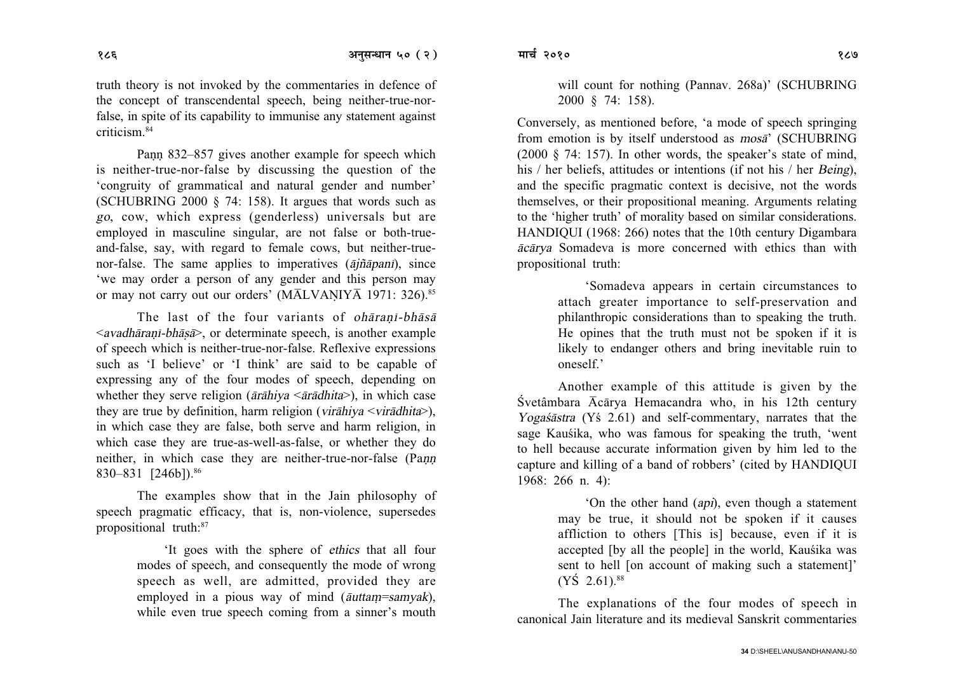truth theory is not invoked by the commentaries in defence of the concept of transcendental speech, being neither-true-norfalse, in spite of its capability to immunise any statement against criticism.<sup>84</sup>

Pann 832–857 gives another example for speech which is neither-true-nor-false by discussing the question of the 'congruity of grammatical and natural gender and number' (SCHUBRING 2000 § 74: 158). It argues that words such as go, cow, which express (genderless) universals but are employed in masculine singular, are not false or both-trueand-false, say, with regard to female cows, but neither-truenor-false. The same applies to imperatives  $(\overline{\tilde{a}})$  manning since 'we may order a person of any gender and this person may or may not carry out our orders' (MALVANIYA 1971: 326).<sup>85</sup>

The last of the four variants of ohārani-bhāsā  $\langle$ avadhāranī-bhāsā $\rangle$ , or determinate speech, is another example of speech which is neither-true-nor-false. Reflexive expressions such as 'I believe' or 'I think' are said to be capable of expressing any of the four modes of speech, depending on whether they serve religion ( $\bar{a}$ rāhiya  $\langle \bar{a}$ rādhita $\rangle$ ), in which case they are true by definition, harm religion (*virāhiya*  $\langle \text{virā}$ *dhita* $\rangle$ ), in which case they are false, both serve and harm religion, in which case they are true-as-well-as-false, or whether they do neither, in which case they are neither-true-nor-false (Pann 830–831 [246b]).<sup>86</sup>

The examples show that in the Jain philosophy of speech pragmatic efficacy, that is, non-violence, supersedes propositional truth:<sup>87</sup>

> 'It goes with the sphere of ethics that all four modes of speech, and consequently the mode of wrong speech as well, are admitted, provided they are employed in a pious way of mind  $(\bar{a}uttam=samyak)$ , while even true speech coming from a sinner's mouth

will count for nothing (Pannav. 268a)' (SCHUBRING 2000 § 74: 158).

Conversely, as mentioned before, 'a mode of speech springing from emotion is by itself understood as *mosa*' (SCHUBRING (2000 § 74: 157). In other words, the speaker's state of mind, his / her beliefs, attitudes or intentions (if not his / her *Being*), and the specific pragmatic context is decisive, not the words themselves, or their propositional meaning. Arguments relating to the 'higher truth' of morality based on similar considerations. HANDIQUI (1968: 266) notes that the 10th century Digambara ÍcÍrya Somadeva is more concerned with ethics than with propositional truth:

> 'Somadeva appears in certain circumstances to attach greater importance to self-preservation and philanthropic considerations than to speaking the truth. He opines that the truth must not be spoken if it is likely to endanger others and bring inevitable ruin to oneself.'

Another example of this attitude is given by the Śvetâmbara Ācārya Hemacandra who, in his 12th century Yogaś $\bar{a}$ stra (Yś 2.61) and self-commentary, narrates that the sage Kauśika, who was famous for speaking the truth, 'went to hell because accurate information given by him led to the capture and killing of a band of robbers' (cited by HANDIQUI 1968: 266 n. 4):

> 'On the other hand (api), even though a statement may be true, it should not be spoken if it causes affliction to others [This is] because, even if it is accepted [by all the people] in the world, Kausika was sent to hell [on account of making such a statement]'  $(Y\& 2.61)^{88}$

The explanations of the four modes of speech in canonical Jain literature and its medieval Sanskrit commentaries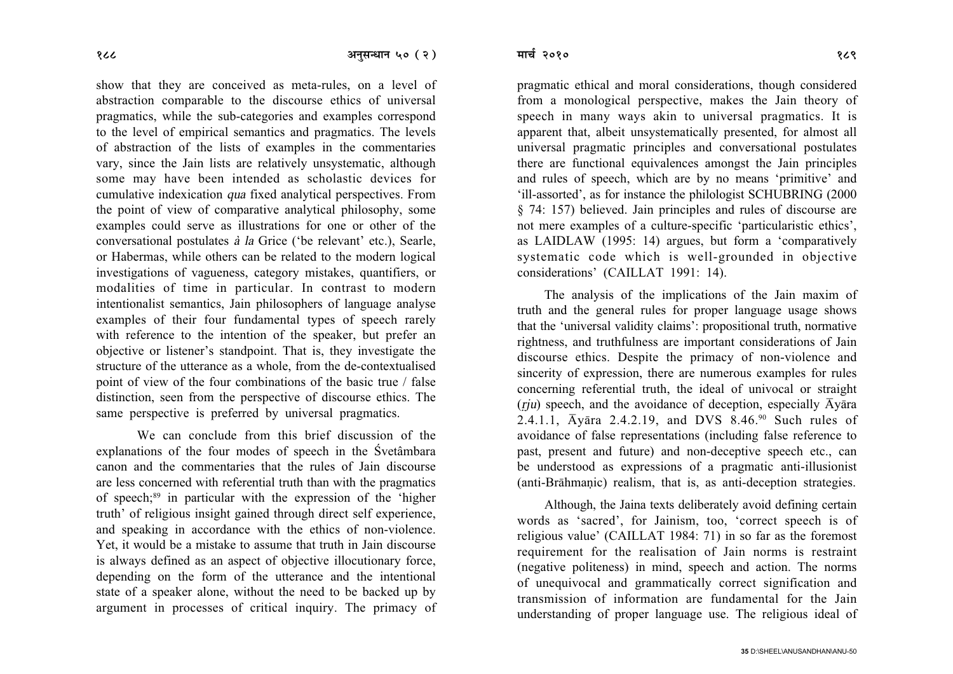show that they are conceived as meta-rules, on a level of abstraction comparable to the discourse ethics of universal pragmatics, while the sub-categories and examples correspond to the level of empirical semantics and pragmatics. The levels of abstraction of the lists of examples in the commentaries vary, since the Jain lists are relatively unsystematic, although some may have been intended as scholastic devices for cumulative indexication qua fixed analytical perspectives. From the point of view of comparative analytical philosophy, some examples could serve as illustrations for one or other of the conversational postulates à la Grice ('be relevant' etc.), Searle, or Habermas, while others can be related to the modern logical investigations of vagueness, category mistakes, quantifiers, or modalities of time in particular. In contrast to modern intentionalist semantics, Jain philosophers of language analyse examples of their four fundamental types of speech rarely with reference to the intention of the speaker, but prefer an objective or listener's standpoint. That is, they investigate the structure of the utterance as a whole, from the de-contextualised point of view of the four combinations of the basic true / false distinction, seen from the perspective of discourse ethics. The same perspective is preferred by universal pragmatics.

We can conclude from this brief discussion of the explanations of the four modes of speech in the Ëvetâmbara canon and the commentaries that the rules of Jain discourse are less concerned with referential truth than with the pragmatics of speech;<sup>89</sup> in particular with the expression of the 'higher truth' of religious insight gained through direct self experience, and speaking in accordance with the ethics of non-violence. Yet, it would be a mistake to assume that truth in Jain discourse is always defined as an aspect of objective illocutionary force, depending on the form of the utterance and the intentional state of a speaker alone, without the need to be backed up by argument in processes of critical inquiry. The primacy of pragmatic ethical and moral considerations, though considered from a monological perspective, makes the Jain theory of speech in many ways akin to universal pragmatics. It is apparent that, albeit unsystematically presented, for almost all universal pragmatic principles and conversational postulates there are functional equivalences amongst the Jain principles and rules of speech, which are by no means 'primitive' and 'ill-assorted', as for instance the philologist SCHUBRING (2000 § 74: 157) believed. Jain principles and rules of discourse are not mere examples of a culture-specific 'particularistic ethics', as LAIDLAW (1995: 14) argues, but form a 'comparatively systematic code which is well-grounded in objective considerations' (CAILLAT 1991: 14).

The analysis of the implications of the Jain maxim of truth and the general rules for proper language usage shows that the 'universal validity claims': propositional truth, normative rightness, and truthfulness are important considerations of Jain discourse ethics. Despite the primacy of non-violence and sincerity of expression, there are numerous examples for rules concerning referential truth, the ideal of univocal or straight ( $riu$ ) speech, and the avoidance of deception, especially  $\bar{A}$ yāra 2.4.1.1, Āyāra 2.4.2.19, and DVS 8.46.<sup>90</sup> Such rules of avoidance of false representations (including false reference to past, present and future) and non-deceptive speech etc., can be understood as expressions of a pragmatic anti-illusionist (anti-Brāhmanic) realism, that is, as anti-deception strategies.

Although, the Jaina texts deliberately avoid defining certain words as 'sacred', for Jainism, too, 'correct speech is of religious value' (CAILLAT 1984: 71) in so far as the foremost requirement for the realisation of Jain norms is restraint (negative politeness) in mind, speech and action. The norms of unequivocal and grammatically correct signification and transmission of information are fundamental for the Jain understanding of proper language use. The religious ideal of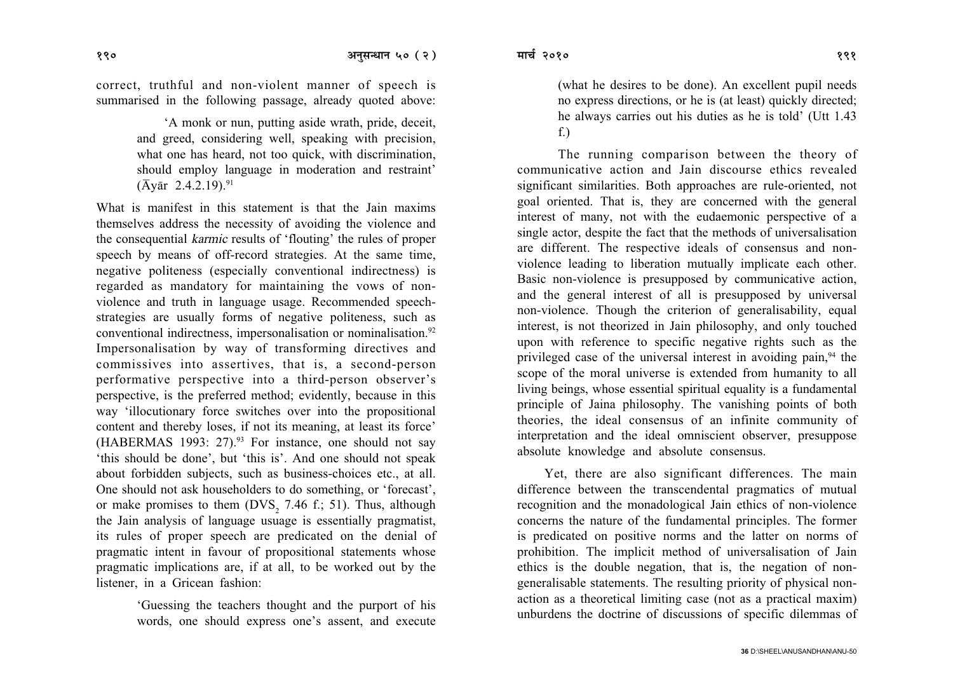correct, truthful and non-violent manner of speech is summarised in the following passage, already quoted above:

> 'A monk or nun, putting aside wrath, pride, deceit, and greed, considering well, speaking with precision, what one has heard, not too quick, with discrimination, should employ language in moderation and restraint'  $(\bar{A}v\bar{a}r 2.4.2.19)^{91}$

What is manifest in this statement is that the Jain maxims themselves address the necessity of avoiding the violence and the consequential karmic results of 'flouting' the rules of proper speech by means of off-record strategies. At the same time, negative politeness (especially conventional indirectness) is regarded as mandatory for maintaining the vows of nonviolence and truth in language usage. Recommended speechstrategies are usually forms of negative politeness, such as conventional indirectness, impersonalisation or nominalisation.<sup>92</sup> Impersonalisation by way of transforming directives and commissives into assertives, that is, a second-person performative perspective into a third-person observer's perspective, is the preferred method; evidently, because in this way 'illocutionary force switches over into the propositional content and thereby loses, if not its meaning, at least its force' (HABERMAS 1993:  $27$ ).<sup>93</sup> For instance, one should not say 'this should be done', but 'this is'. And one should not speak about forbidden subjects, such as business-choices etc., at all. One should not ask householders to do something, or 'forecast', or make promises to them (DVS,  $7.46$  f.; 51). Thus, although the Jain analysis of language usuage is essentially pragmatist, its rules of proper speech are predicated on the denial of pragmatic intent in favour of propositional statements whose pragmatic implications are, if at all, to be worked out by the listener, in a Gricean fashion:

> 'Guessing the teachers thought and the purport of his words, one should express one's assent, and execute

(what he desires to be done). An excellent pupil needs no express directions, or he is (at least) quickly directed; he always carries out his duties as he is told' (Utt 1.43 f.)

The running comparison between the theory of communicative action and Jain discourse ethics revealed significant similarities. Both approaches are rule-oriented, not goal oriented. That is, they are concerned with the general interest of many, not with the eudaemonic perspective of a single actor, despite the fact that the methods of universalisation are different. The respective ideals of consensus and nonviolence leading to liberation mutually implicate each other. Basic non-violence is presupposed by communicative action, and the general interest of all is presupposed by universal non-violence. Though the criterion of generalisability, equal interest, is not theorized in Jain philosophy, and only touched upon with reference to specific negative rights such as the privileged case of the universal interest in avoiding pain, $94$  the scope of the moral universe is extended from humanity to all living beings, whose essential spiritual equality is a fundamental principle of Jaina philosophy. The vanishing points of both theories, the ideal consensus of an infinite community of interpretation and the ideal omniscient observer, presuppose absolute knowledge and absolute consensus.

Yet, there are also significant differences. The main difference between the transcendental pragmatics of mutual recognition and the monadological Jain ethics of non-violence concerns the nature of the fundamental principles. The former is predicated on positive norms and the latter on norms of prohibition. The implicit method of universalisation of Jain ethics is the double negation, that is, the negation of nongeneralisable statements. The resulting priority of physical nonaction as a theoretical limiting case (not as a practical maxim) unburdens the doctrine of discussions of specific dilemmas of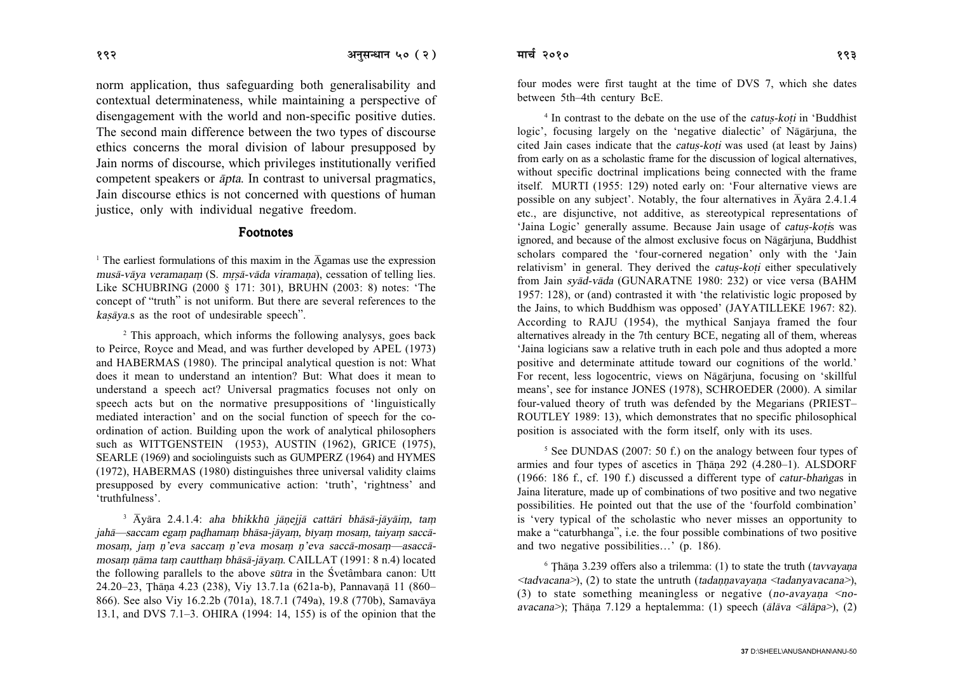norm application, thus safeguarding both generalisability and contextual determinateness, while maintaining a perspective of disengagement with the world and non-specific positive duties. The second main difference between the two types of discourse ethics concerns the moral division of labour presupposed by Jain norms of discourse, which privileges institutionally verified competent speakers or *apta*. In contrast to universal pragmatics, Jain discourse ethics is not concerned with questions of human justice, only with individual negative freedom.

#### **Footnotes**

<sup>1</sup> The earliest formulations of this maxim in the  $\overline{A}$  gamas use the expression musā-vāya veramanam (S. mrsā-vāda viramana), cessation of telling lies. Like SCHUBRING (2000 § 171: 301), BRUHN (2003: 8) notes: 'The concept of "truth" is not uniform. But there are several references to the kasāya.s as the root of undesirable speech".

<sup>2</sup> This approach, which informs the following analysys, goes back to Peirce, Royce and Mead, and was further developed by APEL (1973) and HABERMAS (1980). The principal analytical question is not: What does it mean to understand an intention? But: What does it mean to understand a speech act? Universal pragmatics focuses not only on speech acts but on the normative presuppositions of 'linguistically mediated interaction' and on the social function of speech for the coordination of action. Building upon the work of analytical philosophers such as WITTGENSTEIN (1953), AUSTIN (1962), GRICE (1975), SEARLE (1969) and sociolinguists such as GUMPERZ (1964) and HYMES (1972), HABERMAS (1980) distinguishes three universal validity claims presupposed by every communicative action: 'truth', 'rightness' and 'truthfulness'.

<sup>3</sup> Āyāra 2.4.1.4: aha bhikkhū jānejjā cattāri bhāsā-jāyāim, tam jahā—saccam egam padhamam bhāsa-jāyam, biyam mosam, taiyam saccāmosam, jam n'eva saccam n'eva mosam n'eva saccā-mosam—asaccāmosam nāma tam cauttham bhāsā-jāyam. CAILLAT (1991: 8 n.4) located the following parallels to the above sūtra in the Svetâmbara canon: Utt 24.20–23, Thāna 4.23 (238), Viy 13.7.1a (621a-b), Pannavanā 11 (860– 866). See also Viv 16.2.2b (701a), 18.7.1 (749a), 19.8 (770b), Samavāya 13.1, and DVS 7.1-3. OHIRA (1994: 14, 155) is of the opinion that the four modes were first taught at the time of DVS 7, which she dates between 5th-4th century BcE.

मार्च २०१०

<sup>4</sup> In contrast to the debate on the use of the *catus-koti* in 'Buddhist logic', focusing largely on the 'negative dialectic' of Nāgāriuna, the cited Jain cases indicate that the *catus-koti* was used (at least by Jains) from early on as a scholastic frame for the discussion of logical alternatives. without specific doctrinal implications being connected with the frame itself. MURTI (1955: 129) noted early on: 'Four alternative views are possible on any subject'. Notably, the four alternatives in  $\overline{A}v\overline{a}ra$  2.4.1.4 etc., are disjunctive, not additive, as stereotypical representations of 'Jaina Logic' generally assume. Because Jain usage of catus-kotis was ignored, and because of the almost exclusive focus on Nāgāriuna, Buddhist scholars compared the 'four-cornered negation' only with the 'Jain relativism' in general. They derived the *catus-koti* either speculatively from Jain syād-vāda (GUNARATNE 1980: 232) or vice versa (BAHM 1957: 128), or (and) contrasted it with 'the relativistic logic proposed by the Jains, to which Buddhism was opposed' (JAYATILLEKE 1967: 82). According to RAJU (1954), the mythical Sanjaya framed the four alternatives already in the 7th century BCE, negating all of them, whereas 'Jaina logicians saw a relative truth in each pole and thus adopted a more positive and determinate attitude toward our cognitions of the world.' For recent, less logocentric, views on Nāgārjuna, focusing on 'skillful means', see for instance JONES (1978), SCHROEDER (2000). A similar four-valued theory of truth was defended by the Megarians (PRIEST-ROUTLEY 1989: 13), which demonstrates that no specific philosophical position is associated with the form itself, only with its uses.

 $5$  See DUNDAS (2007: 50 f.) on the analogy between four types of armies and four types of ascetics in Thana 292 (4.280-1). ALSDORF (1966: 186 f., cf. 190 f.) discussed a different type of *catur-bhangas* in Jaina literature, made up of combinations of two positive and two negative possibilities. He pointed out that the use of the 'fourfold combination' is 'very typical of the scholastic who never misses an opportunity to make a "caturbhanga", i.e. the four possible combinations of two positive and two negative possibilities...' (p. 186).

 $6$  Thana 3.239 offers also a trilemma: (1) to state the truth (tavvayana  $\langle \text{tadvacana} \rangle$ , (2) to state the untruth (*tadannavayana*  $\langle \text{tadanyavacana} \rangle$ ), (3) to state something meaningless or negative (no-avayana  $\leq$ noavacana>); Thāna 7.129 a heptalemma: (1) speech ( $\bar{a}$ lāva  $\langle \bar{a} \rangle$ lāpa>), (2)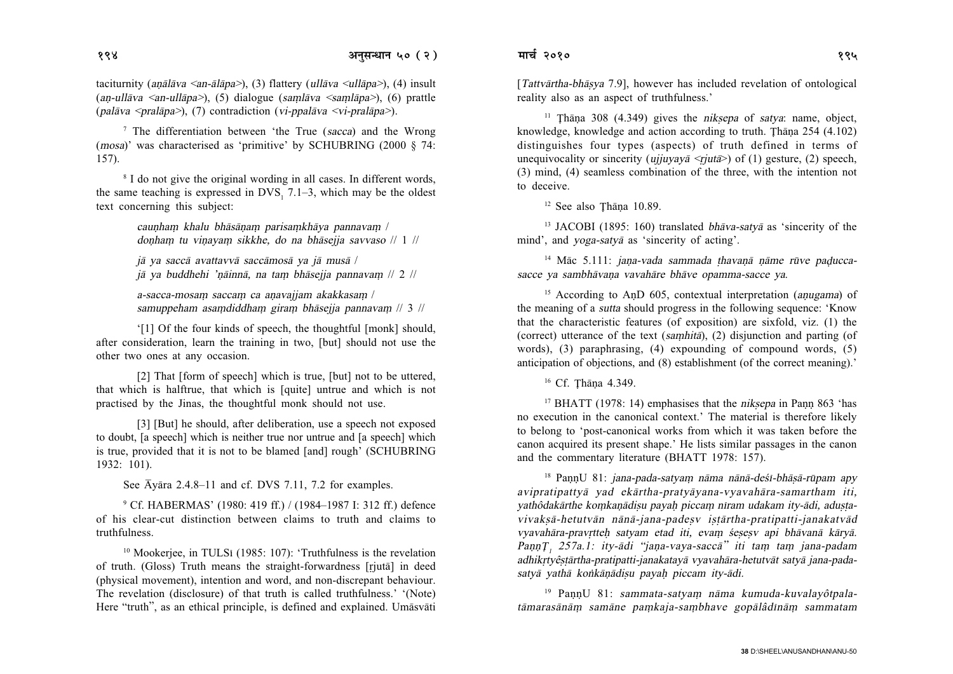taciturnity (anālāva <an-ālāpa>), (3) flattery (ullāva <ullāpa>), (4) insult (an-ullāva  $\langle$ an-ullāpa>), (5) dialogue (samlāva  $\langle$ samlāpa>), (6) prattle (palāva  $\langle$ pralāpa $\rangle$ ), (7) contradiction (vi-ppalāva  $\langle$ vi-pralāpa $\rangle$ ).

<sup>7</sup> The differentiation between 'the True (sacca) and the Wrong (mosa)' was characterised as 'primitive' by SCHUBRING (2000 § 74: 157).

<sup>8</sup> I do not give the original wording in all cases. In different words, the same teaching is expressed in DVS,  $7.1-3$ , which may be the oldest text concerning this subject:

> caunham khalu bhāsānam parisamkhāva pannavam / donham tu vinavam sikkhe, do na bhāsejia savvaso  $/ \mid 1 \mid / \mid$

> jā va saccā avattavvā saccāmosā va jā musā / jā ya buddhehi 'nāinnā, na tam bhāsejja pannavam  $\frac{1}{2}$  //

a-sacca-mosam saccam ca anavajjam akakkasam / samuppeham asamdiddham giram bhāsejja pannavam  $\frac{1}{3}$  //

'[1] Of the four kinds of speech, the thoughtful [monk] should, after consideration, learn the training in two, [but] should not use the other two ones at any occasion.

[2] That [form of speech] which is true, [but] not to be uttered, that which is halftrue, that which is [quite] untrue and which is not practised by the Jinas, the thoughtful monk should not use.

[3] [But] he should, after deliberation, use a speech not exposed to doubt, [a speech] which is neither true nor untrue and [a speech] which is true, provided that it is not to be blamed [and] rough' (SCHUBRING 1932: 101).

See  $\overline{A}$ yāra 2.4.8–11 and cf. DVS 7.11, 7.2 for examples.

<sup>9</sup> Cf. HABERMAS' (1980: 419 ff.) / (1984–1987 I: 312 ff.) defence of his clear-cut distinction between claims to truth and claims to truthfulness.

<sup>10</sup> Mookerjee, in TULSi (1985: 107): 'Truthfulness is the revelation of truth. (Gloss) Truth means the straight-forwardness [rjuta] in deed (physical movement), intention and word, and non-discrepant behaviour. The revelation (disclosure) of that truth is called truthfulness.' '(Note) Here "truth", as an ethical principle, is defined and explained. Umāsvāti

[Tattvārtha-bhāsya 7.9], however has included revelation of ontological reality also as an aspect of truthfulness.'

<sup>11</sup> Thāna 308 (4.349) gives the niksepa of satya: name, object, knowledge, knowledge and action according to truth. Thāna  $254$  (4.102) distinguishes four types (aspects) of truth defined in terms of unequivocality or sincerity (*ujjuvavā <riutā*>) of (1) gesture, (2) speech, (3) mind, (4) seamless combination of the three, with the intention not to deceive.

 $12$  See also Thana 10.89.

<sup>13</sup> JACOBI (1895: 160) translated *bhāva-satyā* as 'sincerity of the mind', and *yoga-satya* as 'sincerity of acting'.

 $14$  Mãe 5.111: jana-vada sammada thavana nāme rūve paduccasacce ya sambhāvaṇa vavahāre bhāve opamma-sacce ya.

<sup>15</sup> According to AnD 605, contextual interpretation (anugama) of the meaning of a sutta should progress in the following sequence: 'Know that the characteristic features (of exposition) are sixfold, viz. (1) the (correct) utterance of the text (samhita), (2) disjunction and parting (of words), (3) paraphrasing, (4) expounding of compound words, (5) anticipation of objections, and (8) establishment (of the correct meaning).'

 $16$  Cf. Thana 4.349.

<sup>17</sup> BHATT (1978: 14) emphasises that the *niksepa* in Pann 863 'has no execution in the canonical context.' The material is therefore likely to belong to 'post-canonical works from which it was taken before the canon acquired its present shape.' He lists similar passages in the canon and the commentary literature (BHATT 1978: 157).

 $18$  PannU 81: jana-pada-satyam nāma nānā-deśī-bhāsā-rūpam apy avipratipattyā yad ekārtha-pratyāyana-vyavahāra-samartham iti, yathôdakārthe komkanādisu payah piccam nīram udakam ity-ādi, adustavivaksā-hetutvān nānā-jana-padesv istārtha-pratipatti-janakatvād vyavahāra-pravrtteh satyam etad iti, evam śesesv api bhāvanā kāryā. PannT, 257a.1: ity-ādi "jana-vaya-saccā" iti tam tam jana-padam adhikrtyêstārtha-pratipatti-janakatayā vyavahāra-hetutvāt satyā jana-padasatyā yathā konkānādisu payah piccam ity-ādi.

 $19$  PannU 81: sammata-satyam nāma kumuda-kuvalayôtpalatāmarasānām samāne pamkaja-sambhave gopālâdīnām sammatam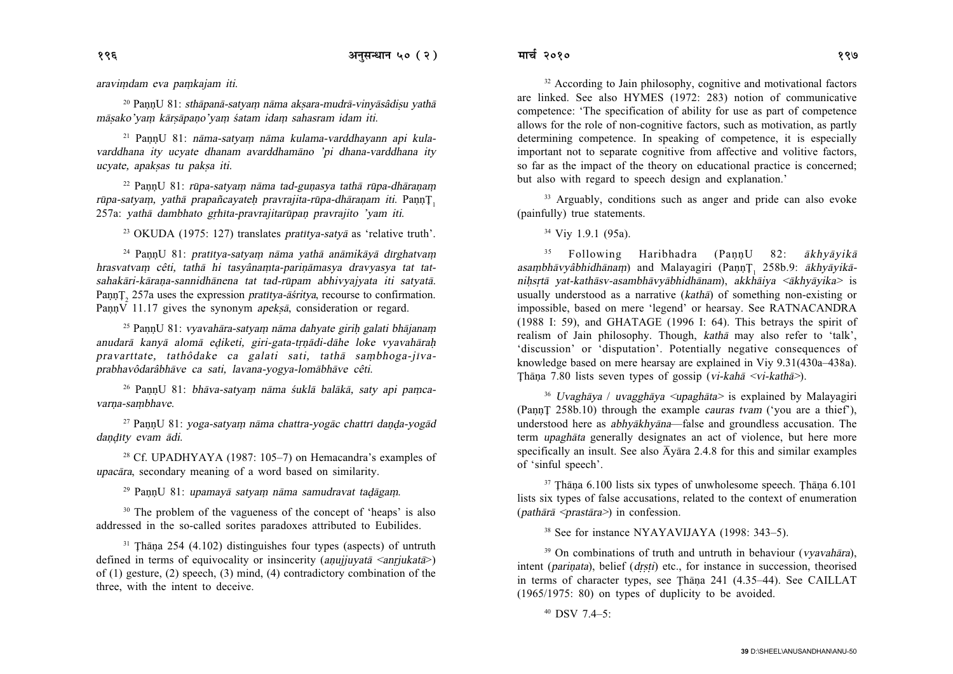aravimdam eva pamkajam iti.

<sup>20</sup> PannU 81: sthāpanā-satyam nāma aksara-mudrā-vinyāsâdisu yathā māsako'yam kārsāpano'yam satam idam sahasram idam iti.

 $21$  PannU 81: nāma-satyam nāma kulama-varddhayann api kulavarddhana ity ucyate dhanam avarddhamāno 'pi dhana-varddhana ity ucyate, apaksas tu paksa iti.

<sup>22</sup> PannU 81: rūpa-satyam nāma tad-gunasya tathā rūpa-dhāranam rūpa-satyam, vathā prapañcayateh pravrajita-rūpa-dhāranam iti. PannT. 257a: vathā dambhato grhīta-pravrajitarūpan pravrajito 'yam iti.

<sup>23</sup> OKUDA (1975: 127) translates *pratitya-satyā* as 'relative truth'.

<sup>24</sup> PannU 81: pratitva-satyam nāma vathā anāmikāvā dīrghatvam hrasvatvam cêti, tathā hi tasyânamta-parināmasya dravyasya tat tatsahakāri-kāraṇa-sannidhānena tat tad-rūpam abhivyajyata iti satyatā. PannT<sub>2</sub> 257a uses the expression *pratitya-āśritya*, recourse to confirmation. Pann $\overline{V}$  11.17 gives the synonym apeksa, consideration or regard.

 $25$  PannU 81: vyavahāra-satyam nāma dahyate girih galati bhājanam anudarā kanyā alomā ediketi, giri-gata-trņādi-dāhe loke vyavahārah pravarttate, tathôdake ca galati sati, tathā sambhoga-jīvaprabhavôdarâbhāve ca sati, lavana-yogya-lomābhāve cêti.

 $26$  PannU 81: bhāva-satyam nāma śuklā balākā, saty api pamcavarna-sambhave.

<sup>27</sup> PannU 81: yoga-satyam nāma chattra-yogāc chattrī danda-yogād dandīty evam ādi.

<sup>28</sup> Cf. UPADHYAYA (1987: 105–7) on Hemacandra's examples of upacāra, secondary meaning of a word based on similarity.

 $29$  PannU 81: upamayā satyam nāma samudravat tadāgam.

<sup>30</sup> The problem of the vagueness of the concept of 'heaps' is also addressed in the so-called sorites paradoxes attributed to Eubilides.

 $31$  Thāna 254 (4.102) distinguishes four types (aspects) of untruth defined in terms of equivocality or insincerity (anujjuyatā  $\langle$ anrjukatā>) of (1) gesture, (2) speech, (3) mind, (4) contradictory combination of the three, with the intent to deceive.

<sup>32</sup> According to Jain philosophy, cognitive and motivational factors are linked. See also HYMES (1972: 283) notion of communicative competence: 'The specification of ability for use as part of competence allows for the role of non-cognitive factors, such as motivation, as partly determining competence. In speaking of competence, it is especially important not to separate cognitive from affective and volitive factors, so far as the impact of the theory on educational practice is concerned; but also with regard to speech design and explanation.'

<sup>33</sup> Arguably, conditions such as anger and pride can also evoke (painfully) true statements.

<sup>34</sup> Viy 1.9.1 (95a).

<sup>35</sup> Following Haribhadra (PannU 82:  $\bar{a}kh\nu\bar{a}vik\bar{a}$ asambhāvyâbhidhānam) and Malayagiri (PannT, 258b.9: ākhyāvikānihsrtā vat-kathāsv-asambhāvvābhidhānam), akkhāiva  $\langle \bar{a} \times \bar{b} \times \bar{b} \times \bar{b} \times \bar{c} \times \bar{c} \times \bar{c} \times \bar{c} \times \bar{c} \times \bar{c} \times \bar{c} \times \bar{c} \times \bar{c} \times \bar{c} \times \bar{c} \times \bar{c} \times \bar{c} \times \bar{c} \times \bar{c} \times \bar{c} \times \bar{c} \times \bar{c} \times \bar{c} \times \bar{c} \$ usually understood as a narrative  $(kath\bar{a})$  of something non-existing or impossible, based on mere 'legend' or hearsay. See RATNACANDRA (1988 I: 59), and GHATAGE (1996 I: 64). This betrays the spirit of realism of Jain philosophy. Though, kathā may also refer to 'talk', 'discussion' or 'disputation'. Potentially negative consequences of knowledge based on mere hearsay are explained in Viy 9.31(430a–438a). Thāna 7.80 lists seven types of gossip (vi-kahā  $\langle vi-ka\bar{h}a\rangle$ ).

<sup>36</sup> Uvaghāya / uvagghāya  $\langle$ upaghāta> is explained by Malayagiri (PaṇnȚ 258b.10) through the example cauras tvam ('you are a thief'), understood here as *abhyākhyāna*—false and groundless accusation. The term *upaghāta* generally designates an act of violence, but here more specifically an insult. See also  $\overline{A}$ yāra 2.4.8 for this and similar examples of 'sinful speech'.

 $37$  Thāna 6.100 lists six types of unwholesome speech. Thāna 6.101 lists six types of false accusations, related to the context of enumeration (pathārā  $\langle \text{prastāra}\rangle$ ) in confession.

<sup>38</sup> See for instance NYAYAVIJAYA (1998: 343–5).

 $39$  On combinations of truth and untruth in behaviour (*vyavahāra*), intent (pariņata), belief (drsti) etc., for instance in succession, theorised in terms of character types, see Thana 241 (4.35–44). See CAILLAT (1965/1975: 80) on types of duplicity to be avoided.

 $40$  DSV 7.4–5: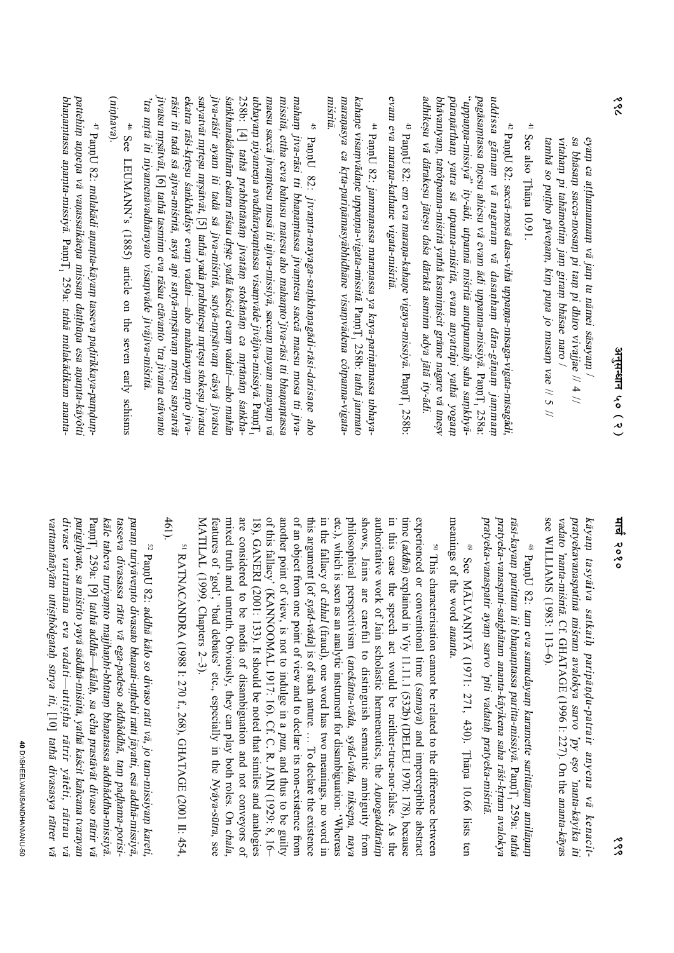eyan ca atthamannam vā jam tu nāmei sāsayam eyam ca atthamannam vā jam tu nāmei sāsayam sa bhāsaṃ sacca-mosaṃ pi taṃ pi dhīro vivajjae sa bhāsam sacca-mosam pi tam pi dhīro vivajjae  $\frac{1}{4}$  // vitaham pi tahāmottiṃ jaṃ giraṃ bhāsae naro vitaham pi tahāmottim jam giram bhāsae naro / tamhā so puțtho pāveņam, kim puņa jo musam vae tamhā so puțiho pāvenam, kim puņa jo musam vae  $\frac{1}{2}$  //

41 See also Thāņa 10.91 See also Thāṇa 10.91.

adhikesu vā dārakesu jātesu dasa dārakā asmim adya jātā ity-ādi. bhāvaniyam, tatrôtpanna-miśritā yathā kasmimscit grāme nagare vā ūnesv pūraņārtham yatra sā utpanna-miśritā, evam anyatrāpi yathā yogam " "vppanna-missiya" ity-ādi, utpannā miśritā anutpannaih saha samkhyā uddissa gāmam vā nagaram vā dasaņham dāra-gāņam jammam pūraņārtham yatra sā utpanna-miśritā, evam anyatrāpi yathā yogam<br>bhāvaniyam, tatrôtpanna-miśritā yathā kasminnscit grāme nagare vā ūneṣv adhikeṣu vā dārakeṣu jāteṣu dāśa dārakē pagāsantassa ūņesu ahiesu vā evam ādi uppanna-missiyā uddissa gāmaṃ vā nagaraṃ vā dasaṇhaṃ dāra-gāṇaṃ jaṃmaṇ uppaṇṇa-missiyā"  $^{42}$  PannU 82: saccā-mosā dasa-vihā uppaņņa-misaga-vigata-misagâdi PannU 82: saccā-mosā dasa-vihā uppaņņa-mīsaga-vigata-mīsagâdi, ity-ādi, utpannā miśritā anutpannaiḥ saha saṃkhyā-.  $\mathrm{PampT}_1$  258a:

evam eva maraņa-kathane vigata-miśritā. evam eva maraņa-kathane vigata-miśritā.  $_{43}$ PannU 82: em eva maraņa-kahaņe vigaya-missiyā. PaṇṇŢ  $1258b$ :

<sup>44</sup> PannU 82: jammanassa maranassa ya kaya-parinamassa ubhaya-PaṇṇU 82: jammaṇassa maraṇassa ya kaya-pariṇāmassa ubhayakahaņe visaṃvādaņe uppaṇṇa-vigata-missitā. PaṇṇŢ  $1258b$ : tathÍ janmato miśritā. maraņasya ca krta-pariņāmasyābhidhāne visaṃvādena côtpanna-vigata-

rāšir iti tadā sā ajiva-mišritā, asyā api satyā-mīsātvam mrteșu satyatvā<br>jivatsu mīsātvāt, [6] tathā tasmim eva rāšau etāvanto 'tra jivanta etāvantc jīvatsu mrsātvāt, ekatra rāsi-krtesu śankhādisv evam vadati—aho mahānayam mrto jivasatyatvāt mrtesu mrsātvāt, [5] tathā yadā prabhūtesu mrtesu stokesu jivatsu śatikhanakâdinām ekatra rāšau drṣṭe yadā kaścid evan vadati—aho mahān<br>jiva-rāšir ayam iti tadā sā jiva-miśritā, satyā-mṛṣātvaṃ câsyā jivatsu satyatvāt mṛteṣu mutesu stokeṣu jivatsu<br>satyatvāt mṛteṣu mṛṣātvāṭ [5] tathā yadā jiva-rāśir ayam iti tadā sā jiva-miśritā, satyā-mrṣātvaṃ câsyā jivatsu śankhanakâdinām ekatra rāšau drște yadā kaścid evam vadati—aho mahāri 258b: [4] tathā prabhūtānām jīvatām stokānām ca mrtānām śankhamaesu saccā jīvamtesu musā iti ajīva-missiyā, saccam mayam amayam vā missitā, ettha ceva bahusu matesu aho mahamto'jiva-rāsi tti bhanamtassa maham jiva-rāsi tti bhanamtassa jivamtesu saccā maesu mosa tti jivarāśir iti tadā sā ajīva-miśritā, asyā api satyā-mṛṣātvaṃ mṛteṣu satyatvāt ekatra rāśi-kṛteṣu śaṅkhādiṣv evaṃ vadati—aho mahānayaṃ mṛto jivaubhayaṃ ṇiyameṇa avadhārayaṃtassa visaṃvāde jīvâjīva-missiyā. maesu saccā jīvamtesu musā iti ajīva-missiyā, saccam mayam amayam vā missitā, ettha ceva bahusu matesu aho mahamto'jiva-rāsi tti bhaṇaṃtassa mahaṃ jīva-rāsi tti bhaṇaṇtassa jīvaṃtesu saccā maesu mosa tti jīva-'tra mrtā iti niyamenāvadhārayato visamvāde jīvājīva-miśritā. 'tra mŗtā iti niyamenāvadhārayato visaṃvāde jīvājīva-miśritā. <sup>45</sup> PannU 82: jivamta-mayaga-samkhanagādi-rāsi-darisane ahc PannU 82: tathā prabhūtānāṃ jīvatāṃ stokānāṃ ca mṛtānāṃ śaṅkhatathā tasminn eva rāšau etāvanto 'tra jivanta etāvanto jĪvaṃta-mayaga-saṃkhaṇagādi-rāsi-darisaṇe aho  $\operatorname{Bainif}$ 

46 See LEUMANN's (1885) article on the seven early schisms See LEUMANN's (1885) article on the seven early schisms (niņhava).

pattehim annena vā vanassaikāena missam daithūna esa ananta-kāyôtti bhanamtassa anamta-missiyā. Pann $\mathbb{T}_1$ , 259a: tathā mūlakādikam anantapattehim annena vā vanassaikāeņa missam daṭthūṇa esa aṇaṃta-kāyôtti .<br>bhaṇaṇtassa aṇaṇta-missiyā. PaṇṇŢ<sub>,</sub> 259a: tathā mūlakādikam ananta- $^{47}$  PannU 82: mūlakādi anamta-kāyam tasseva padirikkaya-pamdum. PannU 82: mūlakādi aņamta-kāyam tasseva padirikkaya-paṃduṃ-

}¢¢Ó¢ü 2010

*hépopa manénica ankinih paripáqa pentralis va forma paristant antique and an experient and an experience and a<br>readino rannearitieita CF GHATAGE (1996 tr.272). On the annual-dependent and and an experimental state of the* 

divase varttamāna eva vadati—uttistha rātrir yātêti, rātrau vā parigrhyate, sa miśrito yayā sāddhā-miśritā, yathā kaścit kañcana tvarayan parigrhyate, sa miśrito yayā sāddhā-miśritā, yathā kaścit kañcana tvarayan varttamānāyām uttisthôdgataḥ sūrya iti, [10] tathā divasasya rātrer vā varttamÍnÍyÍm uttiÙÛhôdgataÏ sÜrya iti, divase varttamāna eva vadati—uttistha rātrir yātêti, rātrau vā tathā divasasya rātrer vā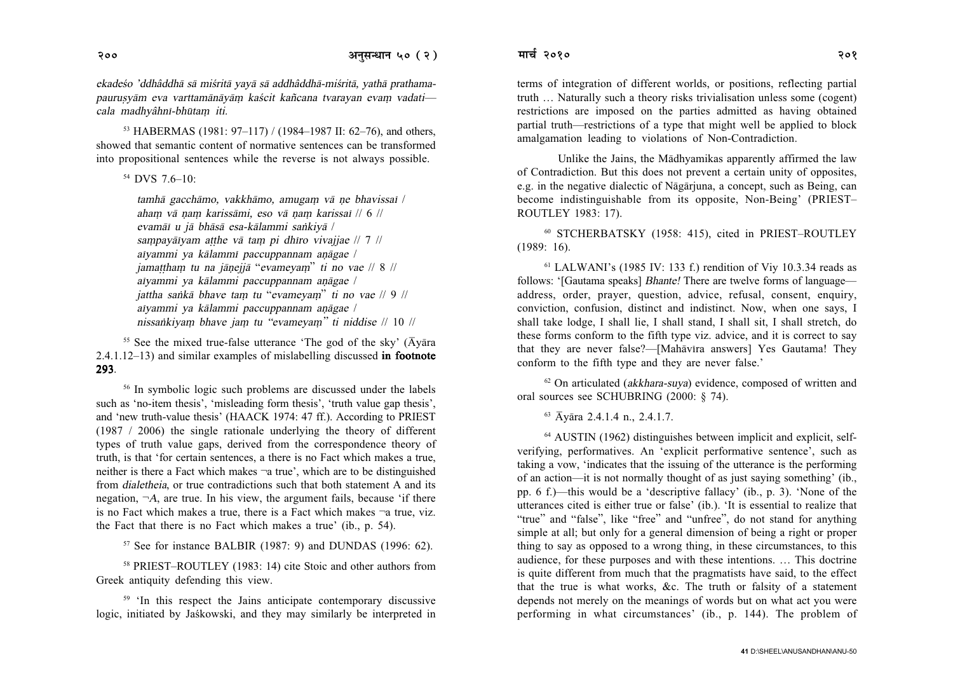ekadeśo 'ddhâddhā sā miśritā yayā sā addhâddhā-miśritā, yathā prathamapaurusvām eva varttamānāvām kaścit kañcana tvaravan evam vadati cala madhvâhni-bhūtam iti.

<sup>53</sup> HABERMAS (1981: 97–117) / (1984–1987 II: 62–76), and others. showed that semantic content of normative sentences can be transformed into propositional sentences while the reverse is not always possible.

 $54$  DVS 7.6-10:

tamhā gacchāmo, vakkhāmo, amugam vā ne bhavissai / aham vā nam karissāmi, eso vā nam karissai // 6 // evamāj u jā bhāsā esa-kālammi sankivā / sampavājvam at the vā tam pi dhiro vivajiae  $|| 7 ||$ aivammi va kālammi paccuppannam anāgae / jamattham tu na jānejiā "evamevam" ti no vae //  $8$  // aiyammi ya kālammi paccuppannam anāgae / jattha sankā bhave tam tu "evameyam" ti no vae // 9 // aiyammi ya kālammi paccuppannam anāgae / nissankiyam bhave jam tu "evameyam" ti niddise // 10 //

<sup>55</sup> See the mixed true-false utterance 'The god of the sky' ( $\overline{A}$ vāra  $2.4.1.12-13$ ) and similar examples of mislabelling discussed in footnote 293.

<sup>56</sup> In symbolic logic such problems are discussed under the labels such as 'no-item thesis', 'misleading form thesis', 'truth value gap thesis'. and 'new truth-value thesis' (HAACK 1974: 47 ff.). According to PRIEST  $(1987 / 2006)$  the single rationale underlying the theory of different types of truth value gaps, derived from the correspondence theory of truth, is that 'for certain sentences, a there is no Fact which makes a true, neither is there a Fact which makes  $\neg a$  true', which are to be distinguished from *dialetheia*, or true contradictions such that both statement A and its negation,  $\neg A$ , are true. In his view, the argument fails, because 'if there is no Fact which makes a true, there is a Fact which makes  $\neg$  a true, viz. the Fact that there is no Fact which makes a true' (ib., p. 54).

 $57$  See for instance BALBIR (1987: 9) and DUNDAS (1996: 62).

<sup>58</sup> PRIEST-ROUTLEY (1983: 14) cite Stoic and other authors from Greek antiquity defending this view.

<sup>59</sup> 'In this respect the Jains anticipate contemporary discussive logic, initiated by Jaskowski, and they may similarly be interpreted in मार्च २०१०

terms of integration of different worlds, or positions, reflecting partial truth ... Naturally such a theory risks trivialisation unless some (cogent) restrictions are imposed on the parties admitted as having obtained partial truth—restrictions of a type that might well be applied to block amalgamation leading to violations of Non-Contradiction.

Unlike the Jains, the Mādhvamikas apparently affirmed the law of Contradiction. But this does not prevent a certain unity of opposites. e.g. in the negative dialectic of Nāgāriuna, a concept, such as Being, can become indistinguishable from its opposite. Non-Being' (PRIEST-ROUTLEY 1983: 17).

<sup>60</sup> STCHERBATSKY (1958: 415), cited in PRIEST-ROUTLEY  $(1989:16)$ 

 $^{61}$  LALWANI's (1985 IV: 133 f.) rendition of Viv 10.3.34 reads as follows: '[Gautama speaks] Bhante! There are twelve forms of language address, order, prayer, question, advice, refusal, consent, enquiry, conviction, confusion, distinct and indistinct. Now, when one says, I shall take lodge, I shall lie, I shall stand, I shall sit, I shall stretch, do these forms conform to the fifth type viz. advice, and it is correct to say that they are never false?--[Mahāvīra answers] Yes Gautama! They conform to the fifth type and they are never false.'

 $62$  On articulated (akkhara-suya) evidence, composed of written and oral sources see SCHUBRING (2000: § 74).

 $63$  Avāra 2.4.1.4 n., 2.4.1.7.

 $64$  AUSTIN (1962) distinguishes between implicit and explicit, selfverifying, performatives. An 'explicit performative sentence', such as taking a vow, 'indicates that the issuing of the utterance is the performing of an action-it is not normally thought of as just saying something' (ib., pp. 6 f.)—this would be a 'descriptive fallacy' (ib., p. 3). 'None of the utterances cited is either true or false' (ib.). 'It is essential to realize that "true" and "false", like "free" and "unfree", do not stand for anything simple at all; but only for a general dimension of being a right or proper thing to say as opposed to a wrong thing, in these circumstances, to this audience, for these purposes and with these intentions. ... This doctrine is quite different from much that the pragmatists have said, to the effect that the true is what works, &c. The truth or falsity of a statement depends not merely on the meanings of words but on what act you were performing in what circumstances' (ib., p. 144). The problem of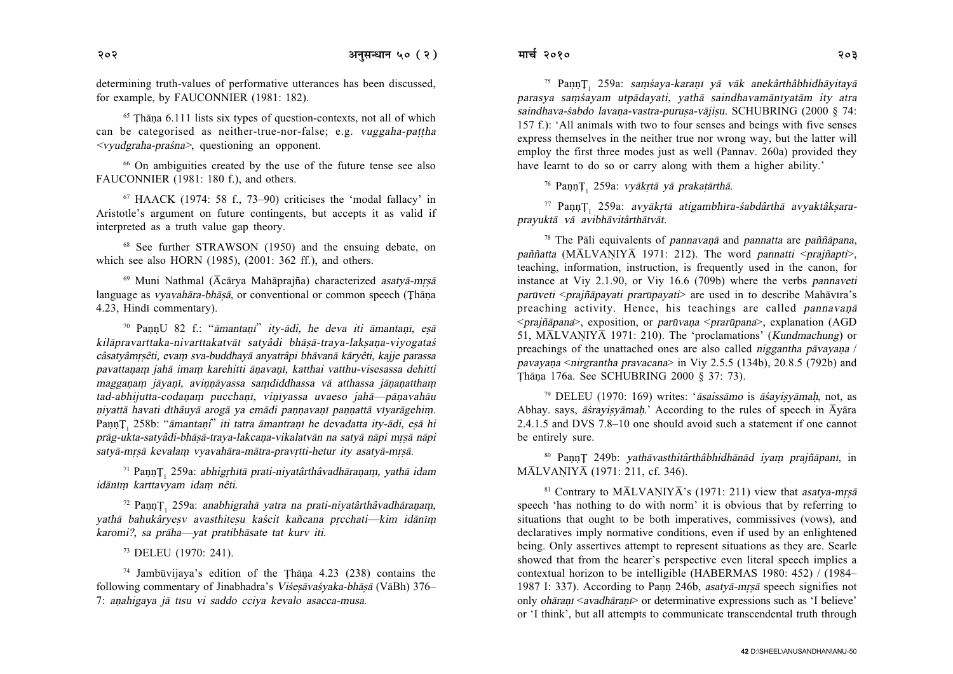अनसन्धान ५० (२)

मार्च २०१०

determining truth-values of performative utterances has been discussed. for example, by FAUCONNIER (1981: 182).

 $<sup>65</sup>$  Thana 6.111 lists six types of question-contexts, not all of which</sup> can be categorised as neither-true-nor-false; e.g. vuggaha-pattha <vvuderaha-praśna>, questioning an opponent.

<sup>66</sup> On ambiguities created by the use of the future tense see also FAUCONNIER (1981: 180 f.), and others.

 $67$  HAACK (1974: 58 f., 73–90) criticises the 'modal fallacy' in Aristotle's argument on future contingents, but accepts it as valid if interpreted as a truth value gap theory.

<sup>68</sup> See further STRAWSON (1950) and the ensuing debate, on which see also HORN  $(1985)$ ,  $(2001: 362$  ff.), and others.

<sup>69</sup> Muni Nathmal (Acārya Mahāprajña) characterized asatyā-mrsā language as *vyavahāra-bhāsā*, or conventional or common speech (Thāna 4.23, Hindi commentary).

<sup>70</sup> PannU 82 f.: "āmantani" ity-ādi, he deva iti āmantani, esā kilāpravarttaka-nivarttakatvāt satyâdi bhāsā-traya-laksana-viyogataś câsatyâmrsêti, evam sva-buddhayā anyatrâpi bhāvanā kāryêti, kajie parassa pavattanam jahā imam karehitti ānavanī, katthai vatthu-visesassa dehitti magganam jāyani, avinnāyassa samdiddhassa vā atthassa jānanattham tad-abhijutta-codanam pucchani, viniyassa uvaeso jahā—pāņavahāu niyattā havati dihâuyā arogā ya emādi pannavanī pannattā viyarāgehim. Pann<sub>T</sub>, 258b: "āmantani" iti tatra āmantranī he devadatta ity-ādi, esā hi prāg-ukta-satyâdi-bhāsā-traya-lakcaņa-vikalatvān na satyā nāpi mrsā nāpi satyā-mrsā kevalam vyavahāra-mātra-pravrtti-hetur ity asatyā-mrsā.

<sup>71</sup> Pann<sub>T</sub>, 259a: abhigrhītā prati-niyatârthâvadhāranam, yathā idam idānīm karttavvam idam nêti.

<sup>72</sup> PannT, 259a: anabhigrahā yatra na prati-niyatârthâvadhāranam, vathā bahukâryesv avasthitesu kaścit kañcana prechati-kim idānim karomi?, sa prāha—yat pratibhāsate tat kurv iti.

<sup>73</sup> DELEU (1970: 241).

<sup>74</sup> Jambūvijaya's edition of the Thana 4.23 (238) contains the following commentary of Jinabhadra's Viśesāvaśyaka-bhāsā (VāBh) 376-7: anahigaya jā tīsu vi saddo cciya kevalo asacca-musa.

<sup>75</sup> PannT, 259a: samśaya-karani yā vāk anekârthâbhidhāyitayā parasva samśavam utpādavati, vathā saindhavamānivatām itv atra saindhava-śabdo lavana-vastra-purusa-vājisu. SCHUBRING (2000 § 74: 157 f.): 'All animals with two to four senses and beings with five senses express themselves in the neither true nor wrong way, but the latter will employ the first three modes just as well (Pannay, 260a) provided they have learnt to do so or carry along with them a higher ability.'

<sup>76</sup> PannT. 259a: vvākrtā vā prakatārthā.

<sup>77</sup> PannT, 259a: avyākrtā atigambhira-śabdârthā avvaktâksarapravuktā vā avibhāvitârthātvāt.

<sup>78</sup> The Pali equivalents of pannavana and pannatta are paññapana. paññatta (M $\overline{A}LVANIY\overline{A}$  1971: 212). The word pannatti <praiñapti>. teaching, information, instruction, is frequently used in the canon, for instance at Viy 2.1.90, or Viy 16.6 (709b) where the verbs pannaveti parūveti <prajñapayati prarūpayati> are used in to describe Mahāvira's preaching activity. Hence, his teachings are called pannavana <prajñapana>, exposition, or parūvana <prarūpana>, explanation (AGD 51, MALVANIYA 1971: 210). The 'proclamations' (Kundmachung) or preachings of the unattached ones are also called niggantha pāvayana / pavayaṇa <nirgrantha pravacana> in Viy 2.5.5 (134b), 20.8.5 (792b) and Thāna 176a. See SCHUBRING 2000 § 37: 73).

<sup>79</sup> DELEU (1970: 169) writes: 'āsaissāmo is āsayisyāmah, not, as Abhay. says,  $\overline{a}$ *strayisyamah*.' According to the rules of speech in  $\overline{A}$ *vara* 2.4.1.5 and DVS 7.8–10 one should avoid such a statement if one cannot be entirely sure.

<sup>80</sup> PannT 249b: yathāvasthitârthâbhidhānād iyam prajñāpanī, in MĀLVAŅIYĀ (1971: 211, cf. 346).

<sup>81</sup> Contrary to MALVANIYA's (1971: 211) view that asatya-mrsa speech 'has nothing to do with norm' it is obvious that by referring to situations that ought to be both imperatives, commissives (vows), and declaratives imply normative conditions, even if used by an enlightened being. Only assertives attempt to represent situations as they are. Searle showed that from the hearer's perspective even literal speech implies a contextual horizon to be intelligible (HABERMAS 1980: 452) / (1984– 1987 I: 337). According to Pann 246b, *asatya-mrsa* speech signifies not only ohāranī <avadhāranī> or determinative expressions such as 'I believe' or 'I think', but all attempts to communicate transcendental truth through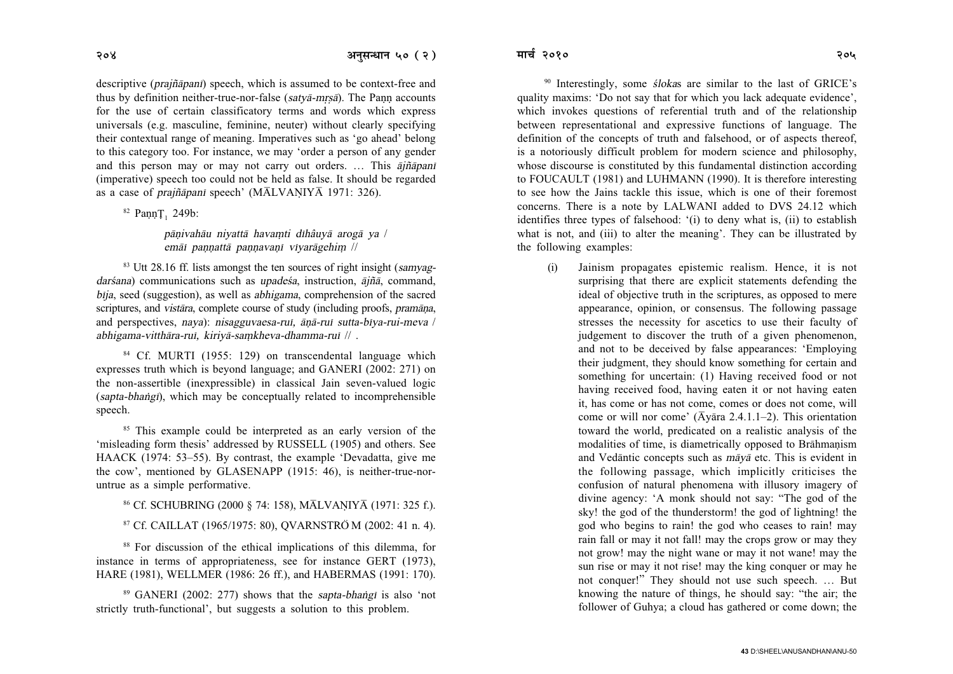descriptive (*prajnapani*) speech, which is assumed to be context-free and thus by definition neither-true-nor-false (satvā-mrsā). The Pann accounts for the use of certain classificatory terms and words which express universals (e.g. masculine, feminine, neuter) without clearly specifying their contextual range of meaning. Imperatives such as 'go ahead' belong to this category too. For instance, we may 'order a person of any gender and this person may or may not carry out orders. ... This *ainapani* (imperative) speech too could not be held as false. It should be regarded as a case of *praiñapani* speech' (MALVANIYA 1971: 326).

82 PannT. 249b:

pānivahāu nivattā havamti dihâuvā arogā va / emāi pannattā pannavanī vivarāgehim //

<sup>83</sup> Utt 28.16 ff. lists amongst the ten sources of right insight (samyagdarśana) communications such as upadeśa, instruction, ājñā, command, bija, seed (suggestion), as well as *abhigama*, comprehension of the sacred scriptures, and vistāra, complete course of study (including proofs, pramāna, and perspectives, naya): nisagguvaesa-rui, ānā-rui sutta-biya-rui-meva abhigama-vitthāra-ruī, kiriyā-saṃkheva-dhamma-ruī // .

<sup>84</sup> Cf. MURTI (1955: 129) on transcendental language which expresses truth which is beyond language; and GANERI (2002: 271) on the non-assertible (inexpressible) in classical Jain seven-valued logic (sapta-bhangi), which may be conceptually related to incomprehensible speech.

<sup>85</sup> This example could be interpreted as an early version of the 'misleading form thesis' addressed by RUSSELL (1905) and others. See HAACK (1974: 53–55). By contrast, the example 'Devadatta, give me the cow', mentioned by GLASENAPP (1915: 46), is neither-true-noruntrue as a simple performative.

<sup>86</sup> Cf. SCHUBRING (2000 § 74: 158), MĀLVAŅIYĀ (1971: 325 f.).

<sup>87</sup> Cf. CAILLAT (1965/1975: 80), QVARNSTRÖM (2002: 41 n. 4).

<sup>88</sup> For discussion of the ethical implications of this dilemma, for instance in terms of appropriateness, see for instance GERT (1973), HARE (1981), WELLMER (1986: 26 ff.), and HABERMAS (1991: 170).

<sup>89</sup> GANERI (2002: 277) shows that the *sapta-bhangi* is also 'not strictly truth-functional', but suggests a solution to this problem.

<sup>90</sup> Interestingly, some *slokas* are similar to the last of GRICE's quality maxims: 'Do not say that for which you lack adequate evidence'. which invokes questions of referential truth and of the relationship between representational and expressive functions of language. The definition of the concepts of truth and falsehood, or of aspects thereof. is a notoriously difficult problem for modern science and philosophy. whose discourse is constituted by this fundamental distinction according to FOUCAULT (1981) and LUHMANN (1990). It is therefore interesting to see how the Jains tackle this issue, which is one of their foremost concerns. There is a note by LALWANI added to DVS 24.12 which identifies three types of falsehood: '(i) to deny what is, (ii) to establish what is not, and (iii) to alter the meaning'. They can be illustrated by the following examples:

Jainism propagates epistemic realism. Hence, it is not  $(i)$ surprising that there are explicit statements defending the ideal of objective truth in the scriptures, as opposed to mere appearance, opinion, or consensus. The following passage stresses the necessity for ascetics to use their faculty of judgement to discover the truth of a given phenomenon, and not to be deceived by false appearances: 'Employing their judgment, they should know something for certain and something for uncertain: (1) Having received food or not having received food, having eaten it or not having eaten it, has come or has not come, comes or does not come, will come or will nor come' ( $\bar{A}$ yāra 2.4.1.1–2). This orientation toward the world, predicated on a realistic analysis of the modalities of time, is diametrically opposed to Brāhmanism and Vedāntic concepts such as māyā etc. This is evident in the following passage, which implicitly criticises the confusion of natural phenomena with illusory imagery of divine agency: 'A monk should not say: "The god of the sky! the god of the thunderstorm! the god of lightning! the god who begins to rain! the god who ceases to rain! may rain fall or may it not fall! may the crops grow or may they not grow! may the night wane or may it not wane! may the sun rise or may it not rise! may the king conquer or may he not conquer!" They should not use such speech. ... But knowing the nature of things, he should say: "the air; the follower of Guhya; a cloud has gathered or come down; the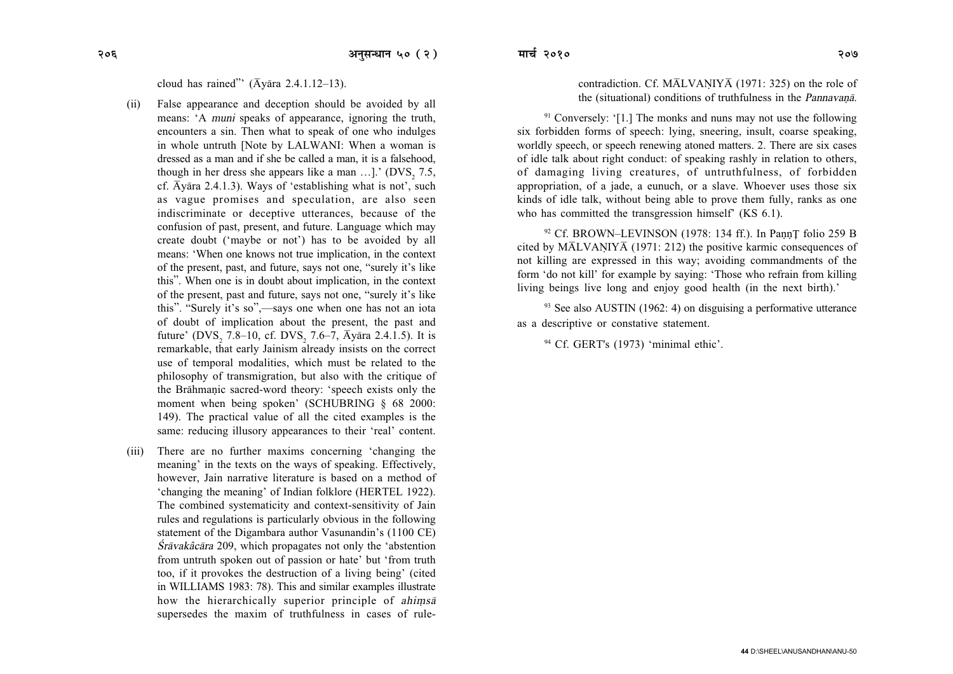cloud has rained"'  $(\bar{A}$ vāra 2.4.1.12–13).

- (ii) False appearance and deception should be avoided by all means: 'A muni speaks of appearance, ignoring the truth, encounters a sin. Then what to speak of one who indulges in whole untruth [Note by LALWANI: When a woman is dressed as a man and if she be called a man, it is a falsehood, though in her dress she appears like a man  $\dots$ ].' (DVS, 7.5, cf.  $\bar{A}v$  $\bar{a}$ ra 2.4.1.3). Ways of 'establishing what is not', such as vague promises and speculation, are also seen indiscriminate or deceptive utterances, because of the confusion of past, present, and future. Language which may create doubt ('maybe or not') has to be avoided by all means: 'When one knows not true implication, in the context of the present, past, and future, says not one, "surely it's like this". When one is in doubt about implication, in the context of the present, past and future, says not one, "surely it's like this". "Surely it's so",—says one when one has not an iota of doubt of implication about the present, the past and future' (DVS,  $7.8-10$ , cf. DVS,  $7.6-7$ ,  $\bar{A}$ yāra 2.4.1.5). It is remarkable, that early Jainism already insists on the correct use of temporal modalities, which must be related to the philosophy of transmigration, but also with the critique of the Brāhmanic sacred-word theory: 'speech exists only the moment when being spoken' (SCHUBRING § 68 2000: 149). The practical value of all the cited examples is the same: reducing illusory appearances to their 'real' content.
- (iii) There are no further maxims concerning 'changing the meaning' in the texts on the ways of speaking. Effectively, however, Jain narrative literature is based on a method of 'changing the meaning' of Indian folklore (HERTEL 1922). The combined systematicity and context-sensitivity of Jain rules and regulations is particularly obvious in the following statement of the Digambara author Vasunandin's (1100 CE)  $S_{\rm r}$ avakâcāra 209, which propagates not only the 'abstention' from untruth spoken out of passion or hate' but 'from truth too, if it provokes the destruction of a living being' (cited in WILLIAMS 1983: 78). This and similar examples illustrate how the hierarchically superior principle of *ahimsa* supersedes the maxim of truthfulness in cases of rule-

### contradiction. Cf. MALVANIYA (1971: 325) on the role of the (situational) conditions of truthfulness in the *Pannavana*.

 $91$  Conversely: '[1.] The monks and nuns may not use the following six forbidden forms of speech: lying, sneering, insult, coarse speaking, worldly speech, or speech renewing atoned matters. 2. There are six cases of idle talk about right conduct: of speaking rashly in relation to others, of damaging living creatures, of untruthfulness, of forbidden appropriation, of a jade, a eunuch, or a slave. Whoever uses those six kinds of idle talk, without being able to prove them fully, ranks as one who has committed the transgression himself' (KS 6.1).

 $92$  Cf. BROWN–LEVINSON (1978: 134 ff.). In PannT folio 259 B cited by M $\overline{A}$ LVANIY $\overline{A}$  (1971: 212) the positive karmic consequences of not killing are expressed in this way; avoiding commandments of the form 'do not kill' for example by saying: 'Those who refrain from killing living beings live long and enjoy good health (in the next birth).'

<sup>93</sup> See also AUSTIN (1962: 4) on disguising a performative utterance as a descriptive or constative statement.

<sup>94</sup> Cf. GERT's (1973) 'minimal ethic'.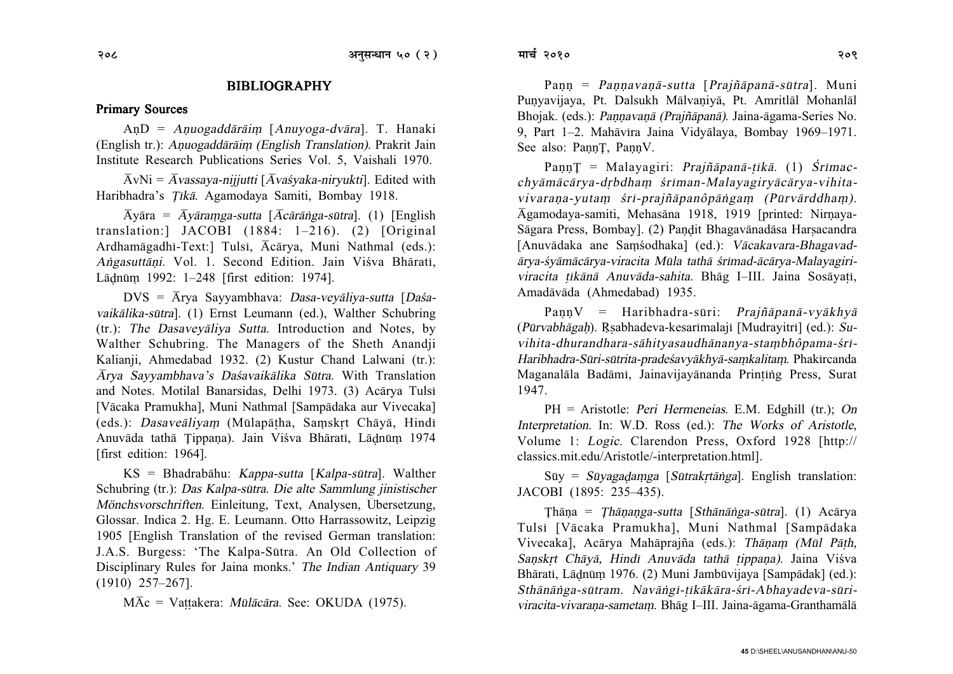# BIBLIOGRAPHY

## Primary Sources

 $AnD = Anuogaddārāim [Anuyoga-dvāra]$ . T. Hanaki (English tr.): Anuogaddārāim (English Translation). Prakrit Jain Institute Research Publications Series Vol. 5, Vaishali 1970.

 $\bar{A}$ vNi =  $\bar{A}$ vassaya-nijjutti [ $\bar{A}$ vaśyaka-niryukti]. Edited with Haribhadra's *Tikā*. Agamodaya Samiti, Bombay 1918.

 $\bar{A}$ yāra =  $\bar{A}$ yāramga-sutta  $[\bar{A}c\bar{a}\bar{r}\bar{a}$ nga-sūtra]. (1) [English translation:] JACOBI (1884: 1–216). (2) [Original Ardhamāgadhī-Text:] Tulsī, Ācārya, Muni Nathmal (eds.): Angasuttāņi. Vol. 1. Second Edition. Jain Viśva Bhāratī, Lādnūm 1992: 1-248 [first edition: 1974].

 $DVS = \bar{A}rya$  Sayyambhava: Dasa-veyāliya-sutta [Daśavaikālika-sūtra]. (1) Ernst Leumann (ed.), Walther Schubring  $(tr.)$ : The Dasaveyaliya Sutta. Introduction and Notes, by Walther Schubring. The Managers of the Sheth Anandji Kalianji, Ahmedabad 1932. (2) Kustur Chand Lalwani (tr.): Ārya Sayyambhava's Daśavaikālika Sūtra. With Translation and Notes. Motilal Banarsidas, Delhi 1973. (3) Acārya Tulsī [Vācaka Pramukha], Muni Nathmal [Sampādaka aur Vivecaka] (eds.): Dasaveāliyam (Mūlapātha, Samskrt Chāyā, Hindī Anuvāda tathā Tippana). Jain Višva Bhāratī, Lādnūm 1974 [first edition: 1964].

 $KS = Bhadrabāhu: Kappa-sutta [Kalpa-sūtra]$ . Walther Schubring (tr.): Das Kalpa-sūtra. Die alte Sammlung jinistischer Mönchsvorschriften. Einleitung, Text, Analysen, Übersetzung, Glossar. Indica 2. Hg. E. Leumann. Otto Harrassowitz, Leipzig 1905 [English Translation of the revised German translation: J.A.S. Burgess: 'The Kalpa-Sūtra. An Old Collection of Disciplinary Rules for Jaina monks.' The Indian Antiquary 39 (1910) 257–267].

 $M\bar{A}c$  = Vattakera: *Mūlācāra*. See: OKUDA (1975).

Pann = Pannavanā-sutta [Prajñāpanā-sūtra]. Muni Punyavijaya, Pt. Dalsukh Mālvaniyā, Pt. Amritlāl Mohanlāl Bhojak. (eds.): Pannavanā (Prajñāpanā). Jaina-āgama-Series No. 9, Part 1–2. Mahāvīra Jaina Vidyālaya, Bombay 1969–1971. See also: PannT. PannV.

Pann $T =$  Malayagiri: *Prajñāpanā-tīkā*. (1)  $\hat{S}$ rīmacchyāmācārya-drbdham śrīman-Malayagiryācārya-vihitavivaraṇa-yutaṃ śrī-prajñāpanôpāṅgaṃ (Pūrvārddhaṃ). Āgamodaya-samiti, Mehasāna 1918, 1919 [printed: Nirnaya-Sāgara Press, Bombay]. (2) Pandit Bhagavānadāsa Harsacandra [Anuvādaka ane Samśodhaka] (ed.): Vācakavara-Bhagavadārya-śyāmācārya-viracita Mūla tathā śrīmad-ācārya-Malayagiriviracita tīkānā Anuvāda-sahita. Bhāg I-III. Jaina Sosāyatī, Amadāvāda (Ahmedabad) 1935.

Pann $V =$  Haribhadra-sūri: Prajñāpanā-vyākhyā (Pūrvabhāgah). Rsabhadeva-kesarīmalajī [Mudrayitrī] (ed.): Suvihita-dhurandhara-sāhityasaudhānanya-stambhôpama-śrī-Haribhadra-Sūri-sūtrita-pradeśavyākhyā-samkalitam. Phakircanda Maganalāla Badāmī, Jainavijayānanda Printing Press, Surat 1947.

PH = Aristotle: Peri Hermeneias. E.M. Edghill (tr.); On Interpretation. In: W.D. Ross (ed.): The Works of Aristotle, Volume 1: Logic. Clarendon Press, Oxford 1928 [http:// classics.mit.edu/Aristotle/-interpretation.html].

 $S\bar{u}v = S\bar{u}vagadamga$  [S $\bar{u}trakrt\bar{a}ngal$ ]. English translation: JACOBI (1895: 235–435).

 $\text{Thāna} = \text{Thānanga-sutta}$  [Sthānāṅga-sūtra]. (1) Acārya Tulsī [Vācaka Pramukha], Muni Nathmal [Sampādaka Vivecaka], Acārya Mahāprajña (eds.): Thāṇaṃ (Mūl Pāth, Sanskrt Chāyā, Hindī Anuvāda tathā tippana). Jaina Viśva Bhāratī, Lādnūm 1976. (2) Muni Jambūvijaya [Sampādak] (ed.): Sthānānga-sūtram. Navāngī-tikākāra-śrī-Abhayadeva-sūriviracita-vivarana-sametam. Bhāg I–III. Jaina-āgama-Granthamālā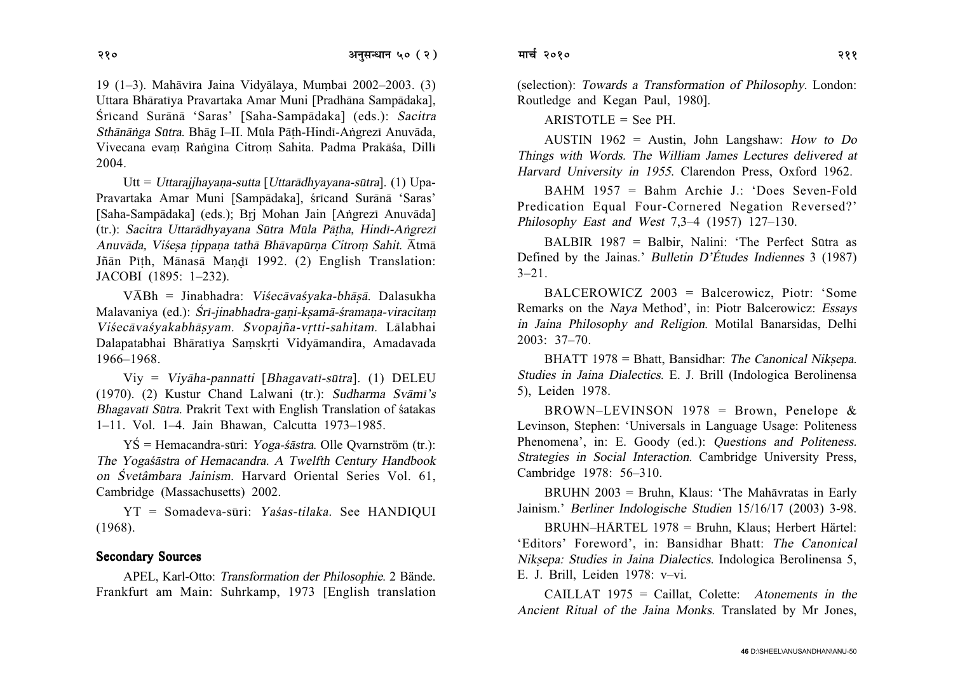<sup>210</sup> ¥ÝéS¢‹{¢Ý 50 (2) }¢¢Ó¢ü 2010 <sup>211</sup>

19 (1–3). Mahāvīra Jaina Vidyālaya, Mumbaī 2002–2003. (3) Uttara Bhāratīya Pravartaka Amar Muni [Pradhāna Sampādaka], Śricand Surānā 'Saras' [Saha-Sampādaka] (eds.): Sacitra Sthānānga Sūtra. Bhāg I–II. Mūla Pāth-Hindi-Angrezī Anuvāda, Vivecana evam Raňgina Citrom Sahita. Padma Prakāśa, Dillī 2004.

Utt = Uttarajjhayaṇa-sutta [Uttarādhyayana-sūtra]. (1) Upa-Pravartaka Amar Muni [Sampādaka], śrīcand Surānā 'Saras' [Saha-Sampādaka] (eds.); Bri Mohan Jain [Angrezī Anuvāda] (tr.): Sacitra Uttarādhyayana Sūtra Mūla Pātha, Hindī-Angrezī Anuvāda, Višesa tippana tathā Bhāvapūrna Citrom Sahit. Ātmā Jñān Pith, Mānasā Mandi 1992. (2) English Translation: JACOBI (1895: 1–232).

 $V\overline{A}Bh$  = Jinabhadra: Viśecāvaśyaka-bhāsā. Dalasukha Malavaniya (ed.): Śrī-jinabhadra-gani-ksamā-śramana-viracitam Viśecāvaśyakabhāsyam. Svopajña-vrtti-sahitam. Lālabhai Dalapatabhai Bhāratīya Samskrti Vidyāmandira, Amadavada 1966–1968.

 $V<sub>1</sub>y = V<sub>i</sub>yāha-pannatti [Bhagavati-sūtra]$ . (1) DELEU (1970). (2) Kustur Chand Lalwani (tr.): Sudharma Svāmī's Bhagavatī Sūtra. Prakrit Text with English Translation of śatakas 1–11. Vol. 1–4. Jain Bhawan, Calcutta 1973–1985.

 $Y\acute{S}$  = Hemacandra-sūri: *Yoga-śāstra*. Olle Ovarnström (tr.): The Yogaśāstra of Hemacandra. A Twelfth Century Handbook on Ëvetâmbara Jainism. Harvard Oriental Series Vol. 61, Cambridge (Massachusetts) 2002.

YT = Somadeva-sūri: Yaśas-tilaka. See HANDIQUI (1968).

# Secondary Sources

APEL, Karl-Otto: Transformation der Philosophie. 2 Bände. Frankfurt am Main: Suhrkamp, 1973 [English translation

(selection): Towards a Transformation of Philosophy. London: Routledge and Kegan Paul, 1980].

 $ARISTOTLE = See PH$ .

AUSTIN 1962 = Austin, John Langshaw: How to Do Things with Words. The William James Lectures delivered at Harvard University in 1955. Clarendon Press, Oxford 1962.

BAHM 1957 = Bahm Archie J.: 'Does Seven-Fold Predication Equal Four-Cornered Negation Reversed?' Philosophy East and West 7,3–4 (1957) 127–130.

BALBIR  $1987 =$  Balbir, Nalini: 'The Perfect Sūtra as Defined by the Jainas.' Bulletin D'Études Indiennes 3 (1987)  $3 - 21$ .

BALCEROWICZ 2003 = Balcerowicz, Piotr: 'Some Remarks on the Naya Method', in: Piotr Balcerowicz: Essays in Jaina Philosophy and Religion. Motilal Banarsidas, Delhi 2003: 37–70.

BHATT 1978 = Bhatt, Bansidhar: The Canonical Niksepa. Studies in Jaina Dialectics. E. J. Brill (Indologica Berolinensa 5), Leiden 1978.

BROWN–LEVINSON  $1978$  = Brown, Penelope & Levinson, Stephen: 'Universals in Language Usage: Politeness Phenomena', in: E. Goody (ed.): Questions and Politeness. Strategies in Social Interaction. Cambridge University Press, Cambridge 1978: 56–310.

BRUHN 2003 = Bruhn, Klaus: 'The Mah $\bar{a}$ vratas in Early Jainism.' Berliner Indologische Studien 15/16/17 (2003) 3-98.

BRUHN-HÄRTEL 1978 = Bruhn, Klaus; Herbert Härtel: 'Editors' Foreword', in: Bansidhar Bhatt: The Canonical Niksepa: Studies in Jaina Dialectics. Indologica Berolinensa 5, E. J. Brill, Leiden 1978: v–vi.

CAILLAT  $1975$  = Caillat, Colette: Atonements in the Ancient Ritual of the Jaina Monks. Translated by Mr Jones,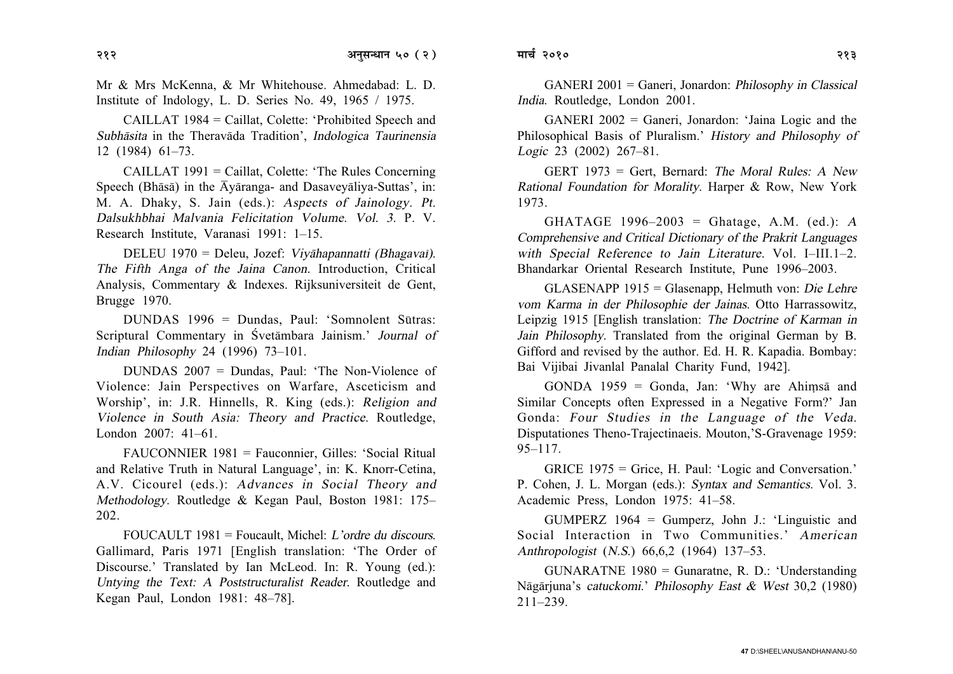Mr & Mrs McKenna, & Mr Whitehouse. Ahmedabad: L. D. Institute of Indology, L. D. Series No. 49, 1965 / 1975.

CAILLAT 1984 = Caillat, Colette: 'Prohibited Speech and Subhāsita in the Theravāda Tradition', Indologica Taurinensia  $12(1984)61-73.$ 

CAILLAT  $1991$  = Caillat, Colette: 'The Rules Concerning Speech (Bhāsā) in the Āvāranga- and Dasaveyāliya-Suttas', in: M. A. Dhaky, S. Jain (eds.): Aspects of Jainology. Pt. Dalsukhbhai Malvania Felicitation Volume, Vol. 3, P. V. Research Institute, Varanasi 1991: 1-15.

DELEU 1970 = Deleu, Jozef: Viyāhapannatti (Bhagavai). The Fifth Anga of the Jaina Canon. Introduction, Critical Analysis, Commentary & Indexes. Rijksuniversiteit de Gent, Brugge 1970.

DUNDAS 1996 = Dundas, Paul: 'Somnolent Sūtras: Scriptural Commentary in Svetāmbara Jainism.' Journal of Indian Philosophy 24 (1996) 73-101.

DUNDAS  $2007$  = Dundas, Paul: 'The Non-Violence of Violence: Jain Perspectives on Warfare, Asceticism and Worship', in: J.R. Hinnells, R. King (eds.): Religion and Violence in South Asia: Theory and Practice. Routledge, London 2007:  $41-61$ .

FAUCONNIER 1981 = Fauconnier, Gilles: 'Social Ritual and Relative Truth in Natural Language', in: K. Knorr-Cetina, A.V. Cicourel (eds.): Advances in Social Theory and Methodology. Routledge & Kegan Paul, Boston 1981: 175-202.

FOUCAULT 1981 = Foucault, Michel: L'ordre du discours. Gallimard, Paris 1971 [English translation: 'The Order of Discourse.' Translated by Ian McLeod. In: R. Young (ed.): Untying the Text: A Poststructuralist Reader. Routledge and Kegan Paul, London 1981: 48-78].

GANERI 2001 = Ganeri, Jonardon: Philosophy in Classical India. Routledge. London 2001.

२१३

GANERI 2002 = Ganeri, Jonardon: 'Jaina Logic and the Philosophical Basis of Pluralism.' History and Philosophy of Logic 23 (2002) 267-81.

GERT 1973 = Gert, Bernard: The Moral Rules: A New Rational Foundation for Morality. Harper & Row, New York 1973.

GHATAGE 1996-2003 = Ghatage, A.M. (ed.): A Comprehensive and Critical Dictionary of the Prakrit Languages with Special Reference to Jain Literature. Vol. I-III.1-2. Bhandarkar Oriental Research Institute, Pune 1996–2003.

GLASENAPP 1915 = Glasenapp, Helmuth von: Die Lehre vom Karma in der Philosophie der Jainas. Otto Harrassowitz, Leipzig 1915 [English translation: The Doctrine of Karman in Jain Philosophy. Translated from the original German by B. Gifford and revised by the author. Ed. H. R. Kapadia. Bombay: Bai Vijibai Jivanlal Panalal Charity Fund, 1942].

GONDA 1959 = Gonda, Jan: 'Why are Ahimsa and Similar Concepts often Expressed in a Negative Form?' Jan Gonda: Four Studies in the Language of the Veda. Disputationes Theno-Trajectinaeis. Mouton,'S-Gravenage 1959:  $95 - 117$ .

GRICE 1975 = Grice, H. Paul: 'Logic and Conversation.' P. Cohen, J. L. Morgan (eds.): Syntax and Semantics. Vol. 3. Academic Press. London 1975: 41–58.

GUMPERZ  $1964 = \text{Gumperz}$ , John J.: 'Linguistic and Social Interaction in Two Communities.' American Anthropologist (N.S.) 66,6,2 (1964) 137–53.

GUNARATNE 1980 = Gunaratne, R. D.: 'Understanding Nāgārjuna's catuckomi.' Philosophy East & West 30,2 (1980)  $211 - 239$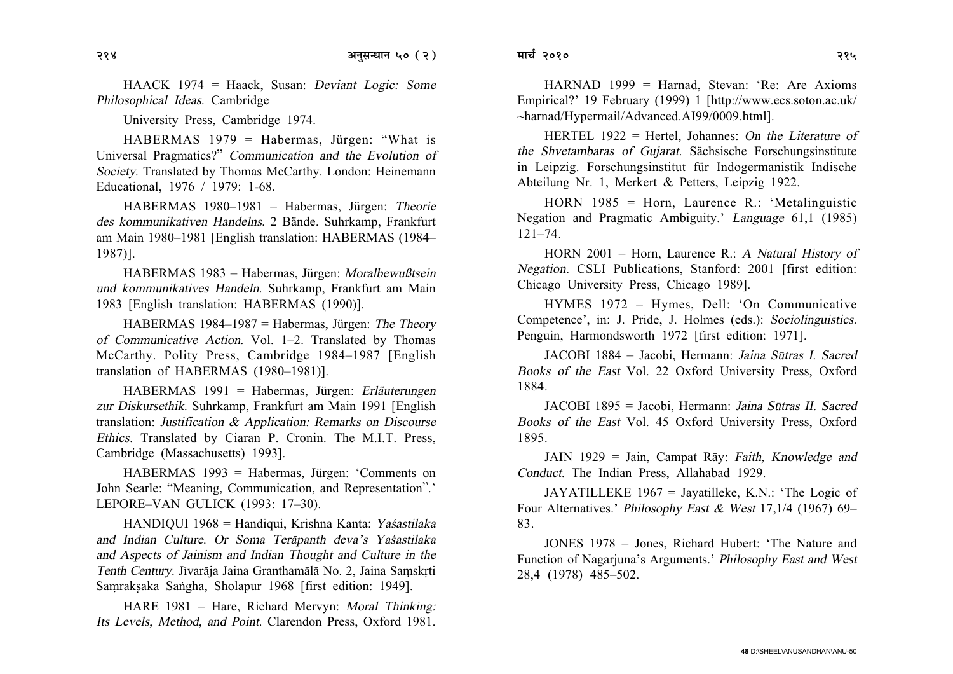मार्च २०१०

अनसन्धान ५० (२)

HAACK 1974 = Haack, Susan: Deviant Logic: Some Philosophical Ideas. Cambridge

University Press, Cambridge 1974.

HABERMAS 1979 = Habermas, Jürgen: "What is Universal Pragmatics?" Communication and the Evolution of Society. Translated by Thomas McCarthy. London: Heinemann Educational, 1976 / 1979: 1-68.

HABERMAS 1980-1981 = Habermas, Jürgen: Theorie des kommunikativen Handelns. 2 Bände. Suhrkamp, Frankfurt am Main 1980–1981 [English translation: HABERMAS (1984–  $1987$ ].

HABERMAS 1983 = Habermas, Jürgen: Moralbewußtsein und kommunikatives Handeln. Suhrkamp, Frankfurt am Main 1983 [English translation: HABERMAS (1990)].

HABERMAS 1984–1987 = Habermas, Jürgen: The Theory of Communicative Action. Vol. 1–2. Translated by Thomas McCarthy. Polity Press, Cambridge 1984–1987 [English translation of HABERMAS (1980-1981)].

HABERMAS 1991 = Habermas, Jürgen: Erläuterungen zur Diskursethik. Suhrkamp, Frankfurt am Main 1991 [English translation: Justification & Application: Remarks on Discourse Ethics. Translated by Ciaran P. Cronin. The M.I.T. Press, Cambridge (Massachusetts) 1993].

HABERMAS 1993 = Habermas, Jürgen: 'Comments on John Searle: "Meaning, Communication, and Representation". LEPORE-VAN GULICK (1993: 17-30).

HANDIQUI 1968 = Handiqui, Krishna Kanta: Yaśastilaka and Indian Culture. Or Soma Terāpanth deva's Yaśastilaka and Aspects of Jainism and Indian Thought and Culture in the Tenth Century. Jivarāja Jaina Granthamālā No. 2, Jaina Saṃskrti Samraksaka Sangha, Sholapur 1968 [first edition: 1949].

HARE 1981 = Hare, Richard Mervyn: Moral Thinking: Its Levels, Method, and Point. Clarendon Press, Oxford 1981.

HARNAD  $1999 =$  Harnad, Stevan: 'Re: Are Axioms Empirical?' 19 February (1999) 1 [http://www.ecs.soton.ac.uk/ ~harnad/Hypermail/Advanced.AI99/0009.html].

HERTEL  $1922$  = Hertel, Johannes: On the Literature of the Shvetambaras of Gujarat. Sächsische Forschungsinstitute in Leipzig. Forschungsinstitut für Indogermanistik Indische Abteilung Nr. 1, Merkert & Petters, Leipzig 1922.

HORN  $1985$  = Horn, Laurence R.: 'Metalinguistic Negation and Pragmatic Ambiguity.' Language 61,1 (1985)  $121 - 74.$ 

HORN 2001 = Horn, Laurence R.: A Natural History of Negation. CSLI Publications, Stanford: 2001 [first edition: Chicago University Press, Chicago 1989].

HYMES  $1972 =$  Hymes, Dell: 'On Communicative Competence', in: J. Pride, J. Holmes (eds.): Sociolinguistics. Penguin, Harmondsworth 1972 [first edition: 1971].

JACOBI 1884 = Jacobi, Hermann: Jaina Sūtras I. Sacred Books of the East Vol. 22 Oxford University Press, Oxford 1884

JACOBI 1895 = Jacobi, Hermann: Jaina Sūtras II. Sacred Books of the East Vol. 45 Oxford University Press, Oxford 1895.

JAIN 1929 = Jain, Campat Rāy: Faith, Knowledge and Conduct. The Indian Press, Allahabad 1929.

JAYATILLEKE  $1967 =$  Javatilleke, K.N.: 'The Logic of Four Alternatives.' Philosophy East & West 17,1/4 (1967) 69– 83.

JONES 1978 = Jones, Richard Hubert: 'The Nature and Function of Nāgārjuna's Arguments.' Philosophy East and West 28,4 (1978) 485-502.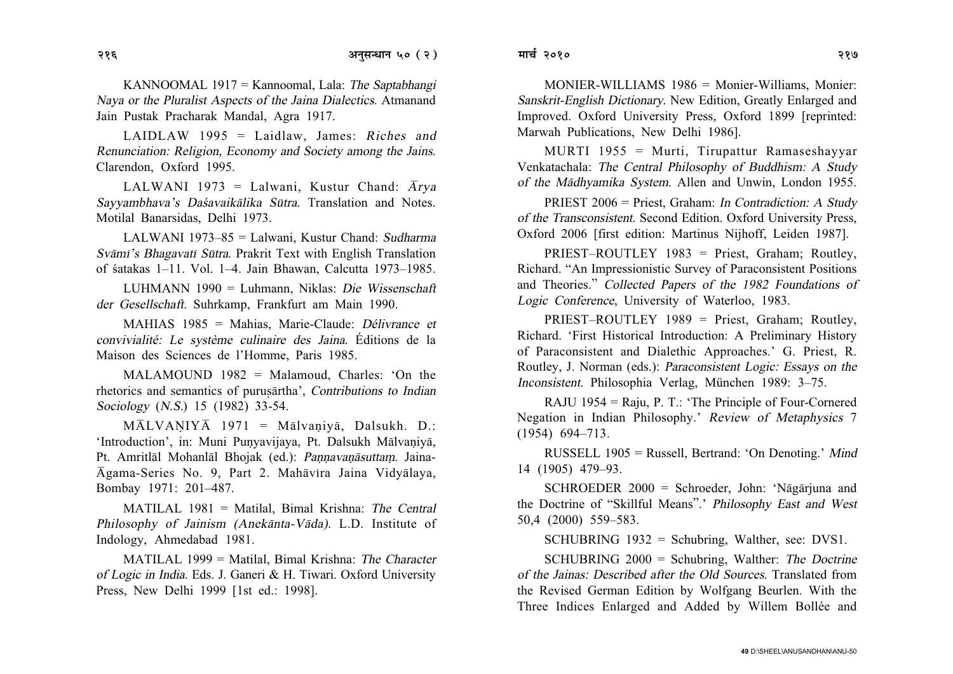49 D:\SHEEL\ANUSANDHAN\ANU-50

मार्च २०१०

KANNOOMAL 1917 = Kannoomal, Lala: The Saptabhangi Naya or the Pluralist Aspects of the Jaina Dialectics. Atmanand Jain Pustak Pracharak Mandal, Agra 1917.

LAIDLAW  $1995 =$  Laidlaw, James: Riches and Renunciation: Religion, Economy and Society among the Jains. Clarendon, Oxford 1995.

LALWANI 1973 = Lalwani, Kustur Chand:  $\overline{A}$ rya Sayyambhava's Daśavaikālika Sūtra. Translation and Notes. Motilal Banarsidas, Delhi 1973.

LALWANI 1973-85 = Lalwani, Kustur Chand: Sudharma Svāmī's Bhagavatī Sūtra. Prakrit Text with English Translation of śatakas 1-11. Vol. 1-4. Jain Bhawan, Calcutta 1973-1985.

LUHMANN 1990 = Luhmann, Niklas: Die Wissenschaft der Gesellschaft. Suhrkamp, Frankfurt am Main 1990.

MAHIAS 1985 = Mahias, Marie-Claude: Délivrance et convivialité: Le système culinaire des Jaina. Éditions de la Maison des Sciences de l'Homme, Paris 1985.

MALAMOUND  $1982$  = Malamoud, Charles: 'On the rhetorics and semantics of purusārtha', Contributions to Indian Sociology (N.S.) 15 (1982) 33-54.

 $M\overline{A}LVANIY\overline{A}$  1971 = Mālvaņiyā, Dalsukh. D.: 'Introduction', in: Muni Punyavijaya, Pt. Dalsukh Mālvaniyā, Pt. Amritlāl Mohanlāl Bhojak (ed.): Pannavanāsuttam. Jaina-Āgama-Series No. 9, Part 2. Mahāvira Jaina Vidyālaya, Bombay 1971: 201-487.

MATILAL 1981 = Matilal, Bimal Krishna: The Central Philosophy of Jainism (Anekānta-Vāda). L.D. Institute of Indology, Ahmedabad 1981.

MATILAL 1999 = Matilal, Bimal Krishna: The Character of Logic in India. Eds. J. Ganeri & H. Tiwari. Oxford University Press, New Delhi 1999 [1st ed.: 1998].

MONIER-WILLIAMS 1986 = Monier-Williams, Monier: Sanskrit-English Dictionary. New Edition, Greatly Enlarged and Improved. Oxford University Press, Oxford 1899 [reprinted: Marwah Publications, New Delhi 1986].

MURTI 1955 = Murti, Tirupattur Ramaseshayyar Venkatachala: The Central Philosophy of Buddhism: A Study of the Mādhyamika System. Allen and Unwin, London 1955.

PRIEST 2006 = Priest, Graham: In Contradiction: A Study of the Transconsistent. Second Edition. Oxford University Press, Oxford 2006 [first edition: Martinus Nijhoff, Leiden 1987].

PRIEST-ROUTLEY 1983 = Priest, Graham; Routley, Richard. "An Impressionistic Survey of Paraconsistent Positions and Theories." Collected Papers of the 1982 Foundations of Logic Conference, University of Waterloo, 1983.

PRIEST-ROUTLEY 1989 = Priest, Graham; Routley, Richard. 'First Historical Introduction: A Preliminary History of Paraconsistent and Dialethic Approaches.' G. Priest, R. Routley, J. Norman (eds.): Paraconsistent Logic: Essays on the Inconsistent. Philosophia Verlag, München 1989: 3–75.

RAJU 1954 = Raju, P. T.: 'The Principle of Four-Cornered Negation in Indian Philosophy.' Review of Metaphysics 7  $(1954)$  694-713.

RUSSELL 1905 = Russell, Bertrand: 'On Denoting.' Mind 14 (1905) 479-93.

SCHROEDER 2000 = Schroeder, John: 'Nāgārjuna and the Doctrine of "Skillful Means".' Philosophy East and West 50,4 (2000) 559-583.

SCHUBRING  $1932 =$  Schubring, Walther, see: DVS1.

SCHUBRING 2000 = Schubring, Walther: The Doctrine of the Jainas: Described after the Old Sources. Translated from the Revised German Edition by Wolfgang Beurlen. With the Three Indices Enlarged and Added by Willem Bollée and